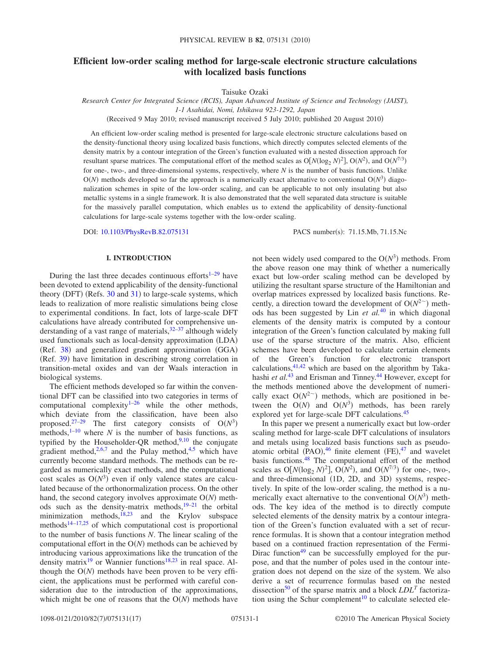# **Efficient low-order scaling method for large-scale electronic structure calculations with localized basis functions**

Taisuke Ozaki

*Research Center for Integrated Science (RCIS), Japan Advanced Institute of Science and Technology (JAIST), 1-1 Asahidai, Nomi, Ishikawa 923-1292, Japan*

(Received 9 May 2010; revised manuscript received 5 July 2010; published 20 August 2010)

An efficient low-order scaling method is presented for large-scale electronic structure calculations based on the density-functional theory using localized basis functions, which directly computes selected elements of the density matrix by a contour integration of the Green's function evaluated with a nested dissection approach for resultant sparse matrices. The computational effort of the method scales as  $O[N(\log_2 N)^2]$ ,  $O(N^2)$ , and  $O(N^{7/3})$ for one-, two-, and three-dimensional systems, respectively, where *N* is the number of basis functions. Unlike  $O(N)$  methods developed so far the approach is a numerically exact alternative to conventional  $O(N^3)$  diagonalization schemes in spite of the low-order scaling, and can be applicable to not only insulating but also metallic systems in a single framework. It is also demonstrated that the well separated data structure is suitable for the massively parallel computation, which enables us to extend the applicability of density-functional calculations for large-scale systems together with the low-order scaling.

DOI: [10.1103/PhysRevB.82.075131](http://dx.doi.org/10.1103/PhysRevB.82.075131)

PACS number(s): 71.15.Mb, 71.15.Nc

### **I. INTRODUCTION**

During the last three decades continuous efforts $1-29$  $1-29$  have been devoted to extend applicability of the density-functional theory (DFT) (Refs.  $30$  and  $31$ ) to large-scale systems, which leads to realization of more realistic simulations being close to experimental conditions. In fact, lots of large-scale DFT calculations have already contributed for comprehensive understanding of a vast range of materials, $32-37$  $32-37$  although widely used functionals such as local-density approximation (LDA) (Ref. [38](#page-15-6)) and generalized gradient approximation (GGA) (Ref. [39](#page-15-7)) have limitation in describing strong correlation in transition-metal oxides and van der Waals interaction in biological systems.

The efficient methods developed so far within the conventional DFT can be classified into two categories in terms of computational complexity $1-26$  $1-26$  while the other methods, which deviate from the classification, have been also proposed.<sup>27–[29](#page-15-1)</sup> The first category consists of  $O(N^3)$  methods,<sup>1[–10](#page-15-10)</sup> where *N* is the number of basis functions, as typified by the Householder-QR method,  $9,10$  $9,10$  the conjugate gradient method,<sup>2,[6,](#page-15-13)[7](#page-15-14)</sup> and the Pulay method,<sup>4[,5](#page-15-16)</sup> which have currently become standard methods. The methods can be regarded as numerically exact methods, and the computational cost scales as  $O(N^3)$  even if only valence states are calculated because of the orthonormalization process. On the other hand, the second category involves approximate  $O(N)$  methods such as the density-matrix methods[,19–](#page-15-17)[21](#page-15-18) the orbital minimization methods, $^{18,23}$  $^{18,23}$  $^{18,23}$  and the Krylov subspace methods $14-17,25$  $14-17,25$  of which computational cost is proportional to the number of basis functions *N*. The linear scaling of the computational effort in the  $O(N)$  methods can be achieved by introducing various approximations like the truncation of the density matrix<sup>19</sup> or Wannier functions<sup>18[,23](#page-15-20)</sup> in real space. Although the  $O(N)$  methods have been proven to be very efficient, the applications must be performed with careful consideration due to the introduction of the approximations, which might be one of reasons that the  $O(N)$  methods have

not been widely used compared to the  $O(N^3)$  methods. From the above reason one may think of whether a numerically exact but low-order scaling method can be developed by utilizing the resultant sparse structure of the Hamiltonian and overlap matrices expressed by localized basis functions. Recently, a direction toward the development of  $O(N^{2<sup>2</sup>})$  methods has been suggested by Lin *et al.*[40](#page-15-24) in which diagonal elements of the density matrix is computed by a contour integration of the Green's function calculated by making full use of the sparse structure of the matrix. Also, efficient schemes have been developed to calculate certain elements of the Green's function for electronic transport calculations,  $41,42$  $41,42$  which are based on the algorithm by Takahashi *et al.*<sup>[43](#page-15-27)</sup> and Erisman and Tinney.<sup>44</sup> However, except for the methods mentioned above the development of numerically exact  $O(N^{2<sup>2</sup>)$  methods, which are positioned in between the  $O(N)$  and  $O(N^3)$  methods, has been rarely explored yet for large-scale DFT calculations[.45](#page-15-29)

In this paper we present a numerically exact but low-order scaling method for large-scale DFT calculations of insulators and metals using localized basis functions such as pseudoatomic orbital  $(PAO)$ , <sup>[46](#page-15-30)</sup> finite element  $(FE)$ , <sup>[47](#page-15-31)</sup> and wavelet basis functions[.48](#page-15-32) The computational effort of the method scales as  $O[N(\log_2 N)^2]$ ,  $O(N^2)$ , and  $O(N^{7/3})$  for one-, two-, and three-dimensional (1D, 2D, and 3D) systems, respectively. In spite of the low-order scaling, the method is a numerically exact alternative to the conventional  $O(N^3)$  methods. The key idea of the method is to directly compute selected elements of the density matrix by a contour integration of the Green's function evaluated with a set of recurrence formulas. It is shown that a contour integration method based on a continued fraction representation of the Fermi-Dirac function $49$  can be successfully employed for the purpose, and that the number of poles used in the contour integration does not depend on the size of the system. We also derive a set of recurrence formulas based on the nested dissection<sup>50</sup> of the sparse matrix and a block  $LDL<sup>T</sup>$  factorization using the Schur complement<sup>10</sup> to calculate selected ele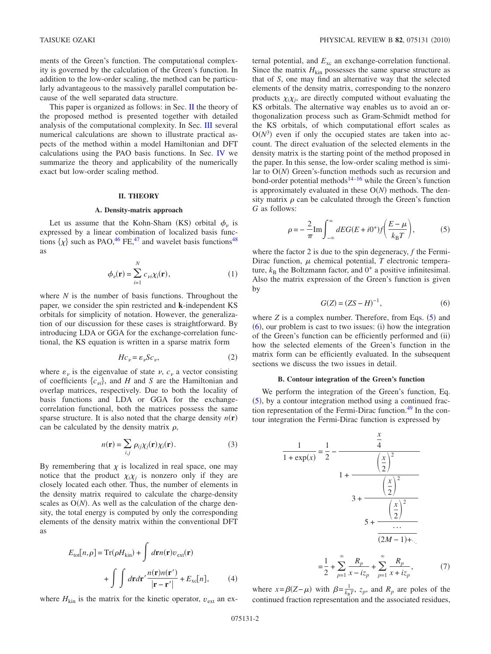ments of the Green's function. The computational complexity is governed by the calculation of the Green's function. In addition to the low-order scaling, the method can be particularly advantageous to the massively parallel computation because of the well separated data structure.

This paper is organized as follows: in Sec. [II](#page-1-0) the theory of the proposed method is presented together with detailed analysis of the computational complexity. In Sec. [III](#page-9-0) several numerical calculations are shown to illustrate practical aspects of the method within a model Hamiltonian and DFT calculations using the PAO basis functions. In Sec. [IV](#page-11-0) we summarize the theory and applicability of the numerically exact but low-order scaling method.

# **II. THEORY**

#### **A. Density-matrix approach**

<span id="page-1-0"></span>Let us assume that the Kohn-Sham (KS) orbital  $\phi_{\nu}$  is expressed by a linear combination of localized basis functions  $\{\chi\}$  such as PAO,<sup>46</sup> FE,<sup>47</sup> and wavelet basis functions<sup>48</sup> as

$$
\phi_{\nu}(\mathbf{r}) = \sum_{i=1}^{N} c_{\nu i} \chi_i(\mathbf{r}), \qquad (1)
$$

where *N* is the number of basis functions. Throughout the paper, we consider the spin restricted and **k**-independent KS orbitals for simplicity of notation. However, the generalization of our discussion for these cases is straightforward. By introducing LDA or GGA for the exchange-correlation functional, the KS equation is written in a sparse matrix form

$$
Hc_{\nu} = \varepsilon_{\nu}Sc_{\nu},\tag{2}
$$

<span id="page-1-5"></span>where  $\varepsilon_{\nu}$  is the eigenvalue of state  $\nu$ ,  $c_{\nu}$  a vector consisting of coefficients  $\{c_{vi}\}$ , and *H* and *S* are the Hamiltonian and overlap matrices, respectively. Due to both the locality of basis functions and LDA or GGA for the exchangecorrelation functional, both the matrices possess the same sparse structure. It is also noted that the charge density  $n(r)$ can be calculated by the density matrix  $\rho$ ,

$$
n(\mathbf{r}) = \sum_{i,j} \rho_{ij} \chi_j(\mathbf{r}) \chi_i(\mathbf{r}).
$$
 (3)

By remembering that  $\chi$  is localized in real space, one may notice that the product  $\chi_i \chi_j$  is nonzero only if they are closely located each other. Thus, the number of elements in the density matrix required to calculate the charge-density scales as  $O(N)$ . As well as the calculation of the charge density, the total energy is computed by only the corresponding elements of the density matrix within the conventional DFT as

$$
E_{\text{tot}}[n,\rho] = \text{Tr}(\rho H_{\text{kin}}) + \int d\mathbf{r} n(\mathbf{r}) v_{\text{ext}}(\mathbf{r})
$$

$$
+ \int \int d\mathbf{r} d\mathbf{r}' \frac{n(\mathbf{r}) n(\mathbf{r}')}{|\mathbf{r} - \mathbf{r}'|} + E_{\text{xc}}[n], \qquad (4)
$$

where  $H_{kin}$  is the matrix for the kinetic operator,  $v_{ext}$  an ex-

ternal potential, and  $E_{\text{xc}}$  an exchange-correlation functional. Since the matrix  $H_{kin}$  possesses the same sparse structure as that of *S*, one may find an alternative way that the selected elements of the density matrix, corresponding to the nonzero products  $\chi_i \chi_j$ , are directly computed without evaluating the KS orbitals. The alternative way enables us to avoid an orthogonalization process such as Gram-Schmidt method for the KS orbitals, of which computational effort scales as  $O(N^3)$  even if only the occupied states are taken into account. The direct evaluation of the selected elements in the density matrix is the starting point of the method proposed in the paper. In this sense, the low-order scaling method is similar to  $O(N)$  Green's-function methods such as recursion and bond-order potential methods<sup>14[–16](#page-15-35)</sup> while the Green's function is approximately evaluated in these  $O(N)$  methods. The density matrix  $\rho$  can be calculated through the Green's function *G* as follows:

$$
\rho = -\frac{2}{\pi} \text{Im} \int_{-\infty}^{\infty} dE G (E + i0^{+}) f\left(\frac{E - \mu}{k_{\text{B}} T}\right),\tag{5}
$$

<span id="page-1-1"></span>where the factor 2 is due to the spin degeneracy, *f* the Fermi-Dirac function,  $\mu$  chemical potential,  $T$  electronic temperature,  $k_B$  the Boltzmann factor, and  $0^+$  a positive infinitesimal. Also the matrix expression of the Green's function is given by

$$
G(Z) = (ZS - H)^{-1},\tag{6}
$$

<span id="page-1-2"></span>where  $Z$  is a complex number. Therefore, from Eqs.  $(5)$  $(5)$  $(5)$  and  $(6)$  $(6)$  $(6)$ , our problem is cast to two issues: (i) how the integration of the Green's function can be efficiently performed and (ii) how the selected elements of the Green's function in the matrix form can be efficiently evaluated. In the subsequent sections we discuss the two issues in detail.

#### **B. Contour integration of the Green's function**

<span id="page-1-4"></span>We perform the integration of the Green's function, Eq.  $(5)$  $(5)$  $(5)$ , by a contour integration method using a continued fraction representation of the Fermi-Dirac function.<sup>49</sup> In the contour integration the Fermi-Dirac function is expressed by

<span id="page-1-3"></span>
$$
\frac{1}{1 + \exp(x)} = \frac{1}{2} - \frac{\frac{x}{4}}{\left(\frac{x}{2}\right)^2}
$$

$$
1 + \frac{\left(\frac{x}{2}\right)^2}{3 + \frac{\left(\frac{x}{2}\right)^2}{\frac{\left(\frac{x}{2}\right)^2}{1 + \frac{\left(\frac{x}{2}\right)^2}{2}}}}
$$

$$
5 + \frac{\dots}{\frac{\dots}{(2M-1)+\dots}}
$$

 $=\frac{1}{2}$  $\frac{1}{2} + \sum_{p=1}$  $\sum_{k=1}^{\infty} R_{p}$  $\frac{R_p}{x - iz_p} + \sum_{p=1}$  $\sum_{k=1}^{\infty} R_{p}$  $x + i z_p$  $, \t(7)$ 

where  $x = \beta(Z - \mu)$  with  $\beta = \frac{1}{k_B T}$ ,  $z_p$ , and  $R_p$  are poles of the continued fraction representation and the associated residues,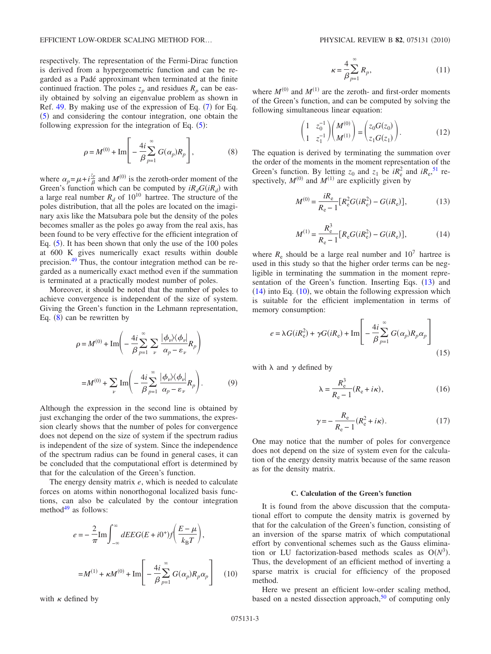EFFICIENT LOW-ORDER SCALING METHOD FOR...

respectively. The representation of the Fermi-Dirac function is derived from a hypergeometric function and can be regarded as a Padé approximant when terminated at the finite continued fraction. The poles  $z_p$  and residues  $R_p$  can be easily obtained by solving an eigenvalue problem as shown in Ref.  $49.$  By making use of the expression of Eq.  $(7)$  $(7)$  $(7)$  for Eq. ([5](#page-1-1)) and considering the contour integration, one obtain the following expression for the integration of Eq.  $(5)$  $(5)$  $(5)$ :

$$
\rho = M^{(0)} + \text{Im}\left[-\frac{4i}{\beta}\sum_{p=1}^{\infty} G(\alpha_p)R_p\right],
$$
 (8)

<span id="page-2-0"></span>where  $\alpha_p = \mu + i\frac{\zeta_p}{\beta}$  and  $M^{(0)}$  is the zeroth-order moment of the Green's function which can be computed by  $iR_dG(iR_d)$  with a large real number  $R_d$  of  $10^{10}$  hartree. The structure of the poles distribution, that all the poles are located on the imaginary axis like the Matsubara pole but the density of the poles becomes smaller as the poles go away from the real axis, has been found to be very effective for the efficient integration of Eq. ([5](#page-1-1)). It has been shown that only the use of the 100 poles at 600 K gives numerically exact results within double precision[.49](#page-15-33) Thus, the contour integration method can be regarded as a numerically exact method even if the summation is terminated at a practically modest number of poles.

Moreover, it should be noted that the number of poles to achieve convergence is independent of the size of system. Giving the Green's function in the Lehmann representation, Eq.  $(8)$  $(8)$  $(8)$  can be rewritten by

$$
\rho = M^{(0)} + \text{Im}\left(-\frac{4i}{\beta}\sum_{p=1}^{\infty} \sum_{\nu} \frac{|\phi_{\nu}\rangle\langle\phi_{\nu}|}{\alpha_p - \varepsilon_{\nu}} R_p\right)
$$

$$
= M^{(0)} + \sum_{\nu} \text{Im}\left(-\frac{4i}{\beta}\sum_{p=1}^{\infty} \frac{|\phi_{\nu}\rangle\langle\phi_{\nu}|}{\alpha_p - \varepsilon_{\nu}} R_p\right). \tag{9}
$$

Although the expression in the second line is obtained by just exchanging the order of the two summations, the expression clearly shows that the number of poles for convergence does not depend on the size of system if the spectrum radius is independent of the size of system. Since the independence of the spectrum radius can be found in general cases, it can be concluded that the computational effort is determined by that for the calculation of the Green's function.

The energy density matrix *e*, which is needed to calculate forces on atoms within nonorthogonal localized basis functions, can also be calculated by the contour integration method $49$  as follows:

<span id="page-2-3"></span>
$$
e = -\frac{2}{\pi} \text{Im} \int_{-\infty}^{\infty} dE E G(E + i0^{+}) f\left(\frac{E - \mu}{k_{\text{B}} T}\right),
$$

$$
= M^{(1)} + \kappa M^{(0)} + \text{Im} \left[ -\frac{4i}{\beta} \sum_{p=1}^{\infty} G(\alpha_p) R_p \alpha_p \right] \quad (10)
$$

with  $\kappa$  defined by

$$
\kappa = \frac{4}{\beta} \sum_{p=1}^{\infty} R_p,\tag{11}
$$

where  $M^{(0)}$  and  $M^{(1)}$  are the zeroth- and first-order moments of the Green's function, and can be computed by solving the following simultaneous linear equation:

$$
\begin{pmatrix} 1 & z_0^{-1} \\ 1 & z_1^{-1} \end{pmatrix} \begin{pmatrix} M^{(0)} \\ M^{(1)} \end{pmatrix} = \begin{pmatrix} z_0 G(z_0) \\ z_1 G(z_1) \end{pmatrix} . \tag{12}
$$

<span id="page-2-1"></span>The equation is derived by terminating the summation over the order of the moments in the moment representation of the Green's function. By letting  $z_0$  and  $z_1$  be  $iR_e^2$  and  $iR_e$ , <sup>[51](#page-15-36)</sup> respectively,  $M^{(0)}$  and  $M^{(1)}$  are explicitly given by

$$
M^{(0)} = \frac{iR_e}{R_e - 1} [R_e^2 G(iR_e^2) - G(iR_e)],
$$
 (13)

$$
M^{(1)} = \frac{R_e^3}{R_e - 1} [R_e G(iR_e^2) - G(iR_e)],
$$
 (14)

<span id="page-2-2"></span>where  $R_e$  should be a large real number and  $10^7$  hartree is used in this study so that the higher order terms can be negligible in terminating the summation in the moment repre-sentation of the Green's function. Inserting Eqs. ([13](#page-2-1)) and  $(14)$  $(14)$  $(14)$  into Eq.  $(10)$  $(10)$  $(10)$ , we obtain the following expression which is suitable for the efficient implementation in terms of memory consumption:

<span id="page-2-4"></span>
$$
e = \lambda G(iR_e^2) + \gamma G(iR_e) + \text{Im}\left[ -\frac{4i}{\beta} \sum_{p=1}^{\infty} G(\alpha_p) R_p \alpha_p \right]
$$
\n(15)

with  $\lambda$  and  $\gamma$  defined by

$$
\lambda = \frac{R_e^3}{R_e - 1}(R_e + i\kappa),\tag{16}
$$

$$
\gamma = -\frac{R_e}{R_e - 1}(R_e^2 + i\kappa).
$$
 (17)

One may notice that the number of poles for convergence does not depend on the size of system even for the calculation of the energy density matrix because of the same reason as for the density matrix.

# **C. Calculation of the Green's function**

It is found from the above discussion that the computational effort to compute the density matrix is governed by that for the calculation of the Green's function, consisting of an inversion of the sparse matrix of which computational effort by conventional schemes such as the Gauss elimination or LU factorization-based methods scales as  $O(N^3)$ . Thus, the development of an efficient method of inverting a sparse matrix is crucial for efficiency of the proposed method.

Here we present an efficient low-order scaling method, based on a nested dissection approach, $50$  of computing only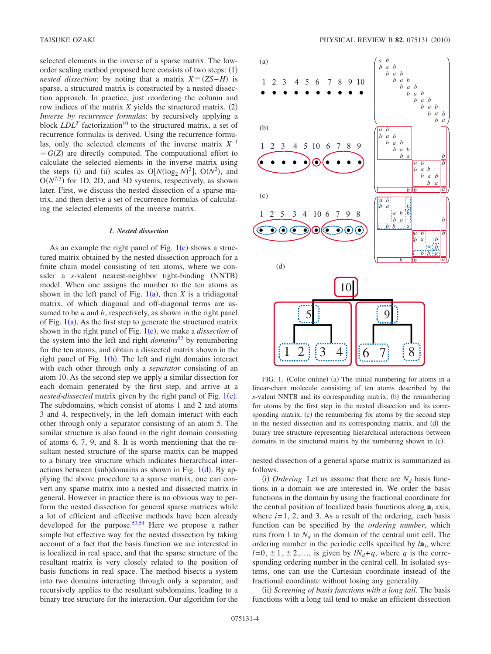selected elements in the inverse of a sparse matrix. The loworder scaling method proposed here consists of two steps: (1) *nested dissection*: by noting that a matrix  $X \equiv (ZS - H)$  is sparse, a structured matrix is constructed by a nested dissection approach. In practice, just reordering the column and row indices of the matrix  $X$  yields the structured matrix.  $(2)$ *Inverse by recurrence formulas*: by recursively applying a block  $LDL<sup>T</sup>$  factorization<sup>10</sup> to the structured matrix, a set of recurrence formulas is derived. Using the recurrence formulas, only the selected elements of the inverse matrix *X*−1  $\equiv G(Z)$  are directly computed. The computational effort to calculate the selected elements in the inverse matrix using the steps (i) and (ii) scales as  $O[N(\log_2 N)^2]$ ,  $O(N^2)$ , and  $O(N^{7/3})$  for 1D, 2D, and 3D systems, respectively, as shown later. First, we discuss the nested dissection of a sparse matrix, and then derive a set of recurrence formulas of calculating the selected elements of the inverse matrix.

# *1. Nested dissection*

<span id="page-3-1"></span>As an example the right panel of Fig.  $1(c)$  $1(c)$  shows a structured matrix obtained by the nested dissection approach for a finite chain model consisting of ten atoms, where we consider a *s*-valent nearest-neighbor tight-binding (NNTB) model. When one assigns the number to the ten atoms as shown in the left panel of Fig.  $1(a)$  $1(a)$ , then *X* is a tridiagonal matrix, of which diagonal and off-diagonal terms are assumed to be *a* and *b*, respectively, as shown in the right panel of Fig.  $1(a)$  $1(a)$ . As the first step to generate the structured matrix shown in the right panel of Fig. [1](#page-3-0)(c), we make a *dissection* of the system into the left and right *domains*[52](#page-15-37) by renumbering for the ten atoms, and obtain a dissected matrix shown in the right panel of Fig.  $1(b)$  $1(b)$ . The left and right domains interact with each other through only a *separator* consisting of an atom 10. As the second step we apply a similar dissection for each domain generated by the first step, and arrive at a *nested-dissected* matrix given by the right panel of Fig. [1](#page-3-0)(c). The subdomains, which consist of atoms 1 and 2 and atoms 3 and 4, respectively, in the left domain interact with each other through only a separator consisting of an atom 5. The similar structure is also found in the right domain consisting of atoms 6, 7, 9, and 8. It is worth mentioning that the resultant nested structure of the sparse matrix can be mapped to a binary tree structure which indicates hierarchical interactions between (sub)[d](#page-3-0)omains as shown in Fig.  $1(d)$ . By applying the above procedure to a sparse matrix, one can convert any sparse matrix into a nested and dissected matrix in general. However in practice there is no obvious way to perform the nested dissection for general sparse matrices while a lot of efficient and effective methods have been already developed for the purpose.<sup>53,[54](#page-16-1)</sup> Here we propose a rather simple but effective way for the nested dissection by taking account of a fact that the basis function we are interested in is localized in real space, and that the sparse structure of the resultant matrix is very closely related to the position of basis functions in real space. The method bisects a system into two domains interacting through only a separator, and recursively applies to the resultant subdomains, leading to a binary tree structure for the interaction. Our algorithm for the

<span id="page-3-0"></span>

FIG. 1. (Color online) (a) The initial numbering for atoms in a linear-chain molecule consisting of ten atoms described by the s-valent NNTB and its corresponding matrix, (b) the renumbering for atoms by the first step in the nested dissection and its corresponding matrix, (c) the renumbering for atoms by the second step in the nested dissection and its corresponding matrix, and (d) the binary tree structure representing hierarchical interactions between domains in the structured matrix by the numbering shown in (c).

nested dissection of a general sparse matrix is summarized as follows.

(i) *Ordering*. Let us assume that there are  $N_d$  basis functions in a domain we are interested in. We order the basis functions in the domain by using the fractional coordinate for the central position of localized basis functions along  $a_i$  axis, where  $i=1$ , 2, and 3. As a result of the ordering, each basis function can be specified by the *ordering number*, which runs from 1 to  $N_d$  in the domain of the central unit cell. The ordering number in the periodic cells specified by *l***a***<sup>i</sup>* , where  $l=0, \pm 1, \pm 2,...$ , is given by  $lN_d+q$ , where q is the corresponding ordering number in the central cell. In isolated systems, one can use the Cartesian coordinate instead of the fractional coordinate without losing any generality.

(ii) Screening of basis functions with a long tail. The basis functions with a long tail tend to make an efficient dissection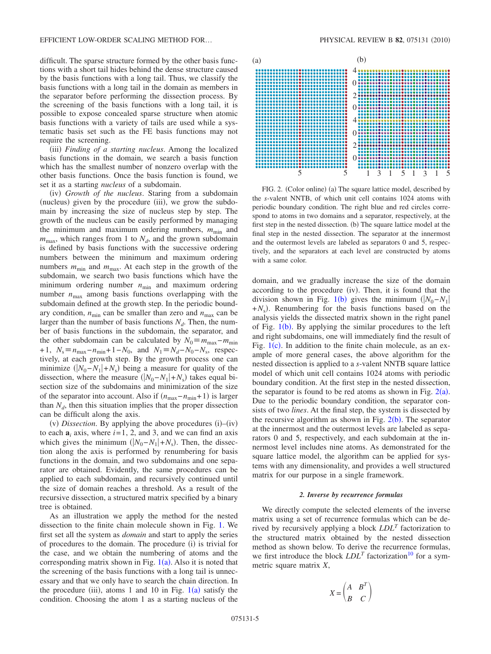difficult. The sparse structure formed by the other basis functions with a short tail hides behind the dense structure caused by the basis functions with a long tail. Thus, we classify the basis functions with a long tail in the domain as members in the separator before performing the dissection process. By the screening of the basis functions with a long tail, it is possible to expose concealed sparse structure when atomic basis functions with a variety of tails are used while a systematic basis set such as the FE basis functions may not require the screening.

(iii) Finding of a starting nucleus. Among the localized basis functions in the domain, we search a basis function which has the smallest number of nonzero overlap with the other basis functions. Once the basis function is found, we set it as a starting *nucleus* of a subdomain.

(iv) Growth of the nucleus. Staring from a subdomain (nucleus) given by the procedure (iii), we grow the subdomain by increasing the size of nucleus step by step. The growth of the nucleus can be easily performed by managing the minimum and maximum ordering numbers,  $m_{\text{min}}$  and  $m_{\text{max}}$ , which ranges from 1 to  $N_d$ , and the grown subdomain is defined by basis functions with the successive ordering numbers between the minimum and maximum ordering numbers  $m_{\text{min}}$  and  $m_{\text{max}}$ . At each step in the growth of the subdomain, we search two basis functions which have the minimum ordering number  $n_{\text{min}}$  and maximum ordering number  $n_{\text{max}}$  among basis functions overlapping with the subdomain defined at the growth step. In the periodic boundary condition,  $n_{\text{min}}$  can be smaller than zero and  $n_{\text{max}}$  can be larger than the number of basis functions  $N_d$ . Then, the number of basis functions in the subdomain, the separator, and the other subdomain can be calculated by  $N_0 \equiv m_{\text{max}} - m_{\text{min}}$ +1,  $N_s \equiv n_{\text{max}} - n_{\text{min}} + 1 - N_0$ , and  $N_1 \equiv N_d - N_0 - N_s$ , respectively, at each growth step. By the growth process one can minimize  $(|N_0 - N_1| + N_s)$  being a measure for quality of the dissection, where the measure  $(|N_0 - N_1| + N_s)$  takes equal bisection size of the subdomains and minimization of the size of the separator into account. Also if  $(n_{\text{max}} - n_{\text{min}} + 1)$  is larger than  $N_d$ , then this situation implies that the proper dissection can be difficult along the axis.

 $(v)$  *Dissection*. By applying the above procedures  $(i)$ – $(iv)$ to each  $a_i$  axis, where  $i = 1, 2$ , and 3, and we can find an axis which gives the minimum  $(|N_0 - N_1| + N_s)$ . Then, the dissection along the axis is performed by renumbering for basis functions in the domain, and two subdomains and one separator are obtained. Evidently, the same procedures can be applied to each subdomain, and recursively continued until the size of domain reaches a threshold. As a result of the recursive dissection, a structured matrix specified by a binary tree is obtained.

As an illustration we apply the method for the nested dissection to the finite chain molecule shown in Fig. [1.](#page-3-0) We first set all the system as *domain* and start to apply the series of procedures to the domain. The procedure (i) is trivial for the case, and we obtain the numbering of atoms and the corresponding matrix shown in Fig.  $1(a)$  $1(a)$ . Also it is noted that the screening of the basis functions with a long tail is unnecessary and that we only have to search the chain direction. In the procedure (iii), atoms [1](#page-3-0) and 10 in Fig.  $1(a)$  satisfy the condition. Choosing the atom 1 as a starting nucleus of the

<span id="page-4-0"></span>

FIG. 2. (Color online) (a) The square lattice model, described by the *s*-valent NNTB, of which unit cell contains 1024 atoms with periodic boundary condition. The right blue and red circles correspond to atoms in two domains and a separator, respectively, at the first step in the nested dissection. (b) The square lattice model at the final step in the nested dissection. The separator at the innermost and the outermost levels are labeled as separators 0 and 5, respectively, and the separators at each level are constructed by atoms with a same color.

domain, and we gradually increase the size of the domain according to the procedure (iv). Then, it is found that the division shown in Fig. [1](#page-3-0)(b) gives the minimum  $(|N_0 - N_1|)$  $+N_s$ ). Renumbering for the basis functions based on the analysis yields the dissected matrix shown in the right panel of Fig.  $1(b)$  $1(b)$ . By applying the similar procedures to the left and right subdomains, one will immediately find the result of Fig.  $1(c)$  $1(c)$ . In addition to the finite chain molecule, as an example of more general cases, the above algorithm for the nested dissection is applied to a *s*-valent NNTB square lattice model of which unit cell contains 1024 atoms with periodic boundary condition. At the first step in the nested dissection, the separator is found to be red atoms as shown in Fig.  $2(a)$  $2(a)$ . Due to the periodic boundary condition, the separator consists of two *lines*. At the final step, the system is dissected by the recursive algorithm as shown in Fig.  $2(b)$  $2(b)$ . The separator at the innermost and the outermost levels are labeled as separators 0 and 5, respectively, and each subdomain at the innermost level includes nine atoms. As demonstrated for the square lattice model, the algorithm can be applied for systems with any dimensionality, and provides a well structured matrix for our purpose in a single framework.

#### *2. Inverse by recurrence formulas*

We directly compute the selected elements of the inverse matrix using a set of recurrence formulas which can be derived by recursively applying a block *LDL<sup>T</sup>* factorization to the structured matrix obtained by the nested dissection method as shown below. To derive the recurrence formulas, we first introduce the block  $LDL<sup>T</sup>$  factorization<sup>10</sup> for a symmetric square matrix *X*,

$$
X = \begin{pmatrix} A & B^T \\ B & C \end{pmatrix}
$$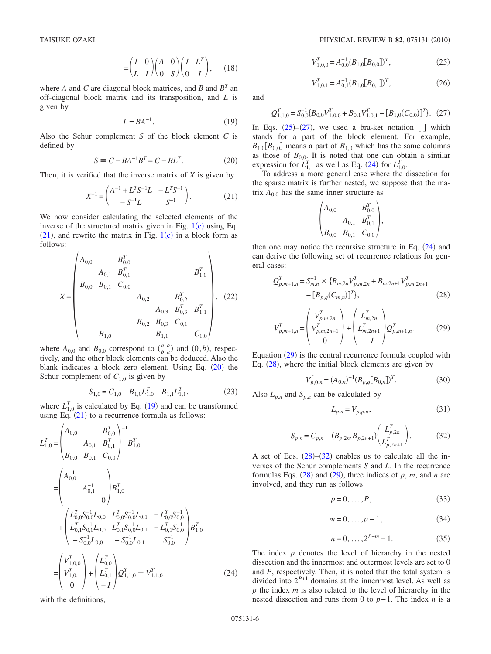$$
= \begin{pmatrix} I & 0 \\ L & I \end{pmatrix} \begin{pmatrix} A & 0 \\ 0 & S \end{pmatrix} \begin{pmatrix} I & L^T \\ 0 & I \end{pmatrix}, \quad (18)
$$

where *A* and *C* are diagonal block matrices, and *B* and  $B<sup>T</sup>$  and off-diagonal block matrix and its transposition, and *L* is given by

$$
L = BA^{-1}.
$$
 (19)

<span id="page-5-2"></span>Also the Schur complement *S* of the block element *C* is defined by

$$
S \equiv C - BA^{-1}B^{T} = C - BL^{T}.
$$
 (20)

<span id="page-5-1"></span><span id="page-5-0"></span>Then, it is verified that the inverse matrix of *X* is given by

$$
X^{-1} = \begin{pmatrix} A^{-1} + L^T S^{-1} L & -L^T S^{-1} \\ -S^{-1} L & S^{-1} \end{pmatrix}.
$$
 (21)

We now consider calculating the selected elements of the inverse of the structured matrix given in Fig.  $1(c)$  $1(c)$  using Eq.  $(21)$  $(21)$  $(21)$ , and rewrite the matrix in Fig. [1](#page-3-0)(c) in a block form as follows:

<span id="page-5-13"></span>
$$
X = \begin{pmatrix} A_{0,0} & B_{0,0}^T & & & \\ & B_{0,0} & B_{0,1}^T & B_{0,0}^T & B_{1,0}^T \\ & & & A_{0,1} & C_{0,0} & \\ & & & A_{0,2} & B_{0,2}^T & \\ & & & & A_{0,3} & B_{0,3}^T & B_{1,1}^T \\ & & & & B_{0,2} & B_{0,3} & C_{0,1} & \\ & & & & B_{1,0} & B_{1,1} & C_{1,0} \end{pmatrix}, (22)
$$

where  $A_{0,0}$  and  $B_{0,0}$  correspond to  $\binom{a}{b}$  and  $(0,b)$ , respectively, and the other block elements can be deduced. Also the blank indicates a block zero element. Using Eq. ([20](#page-5-1)) the Schur complement of  $C_{1,0}$  is given by

$$
S_{1,0} = C_{1,0} - B_{1,0} L_{1,0}^T - B_{1,1} L_{1,1}^T,
$$
\n(23)

where  $L_{1,0}^T$  is calculated by Eq. ([19](#page-5-2)) and can be transformed using Eq.  $(21)$  $(21)$  $(21)$  to a recurrence formula as follows:

<span id="page-5-5"></span>
$$
L_{1,0}^{T} = \begin{pmatrix} A_{0,0} & B_{0,0}^{T} \\ A_{0,1} & B_{0,1}^{T} \\ B_{0,0} & B_{0,1} & C_{0,0} \end{pmatrix}^{-1} B_{1,0}^{T}
$$
  
\n
$$
= \begin{pmatrix} A_{0,0}^{-1} & & \\ & A_{0,1}^{-1} & \\ & & 0 \end{pmatrix} B_{1,0}^{T}
$$
  
\n
$$
+ \begin{pmatrix} L_{0,0}^{T} S_{0,0}^{-1} L_{0,0} & L_{0,0}^{T} S_{0,0}^{-1} L_{0,1} & -L_{0,0}^{T} S_{0,0}^{-1} \\ L_{0,1}^{T} S_{0,0}^{-1} L_{0,0} & L_{0,1}^{T} S_{0,0}^{-1} L_{0,1} & -L_{0,1}^{T} S_{0,0}^{-1} \\ -S_{0,0}^{-1} L_{0,0} & -S_{0,0}^{-1} L_{0,1} & S_{0,0}^{-1} \end{pmatrix} B_{1,0}^{T}
$$
  
\n
$$
= \begin{pmatrix} V_{1,0,0}^{T} \\ V_{1,0,1}^{T} \\ 0 \end{pmatrix} + \begin{pmatrix} L_{0,0}^{T} \\ L_{0,1}^{T} \\ L_{0,1}^{T} \end{pmatrix} Q_{1,1,0}^{T} \equiv V_{1,1,0}^{T}
$$
(24)

with the definitions,

$$
V_{1,0,0}^T = A_{0,0}^{-1} (B_{1,0}[B_{0,0}])^T,
$$
\n(25)

$$
V_{1,0,1}^T = A_{0,1}^{-1} (B_{1,0}[B_{0,1}])^T,
$$
\n(26)

<span id="page-5-4"></span><span id="page-5-3"></span>and

$$
Q_{1,1,0}^T = S_{0,0}^{-1} \{ B_{0,0} V_{1,0,0}^T + B_{0,1} V_{1,0,1}^T - [B_{1,0}(C_{0,0})]^T \}. (27)
$$

In Eqs.  $(25)-(27)$  $(25)-(27)$  $(25)-(27)$  $(25)-(27)$  $(25)-(27)$ , we used a bra-ket notation [] which stands for a part of the block element. For example,  $B_{1,0}[B_{0,0}]$  means a part of  $B_{1,0}$  which has the same columns as those of  $B_{0,0}$ . It is noted that one can obtain a similar expression for  $L_{1,1}^T$  as well as Eq. ([24](#page-5-5)) for  $L_{1,0}^T$ .

To address a more general case where the dissection for the sparse matrix is further nested, we suppose that the matrix  $A_{0,0}$  has the same inner structure as

$$
\begin{pmatrix} A_{0,0} & B_{0,0}^T \\ & A_{0,1} & B_{0,1}^T \\ B_{0,0} & B_{0,1} & C_{0,0} \end{pmatrix},
$$

then one may notice the recursive structure in Eq.  $(24)$  $(24)$  $(24)$  and can derive the following set of recurrence relations for general cases:

<span id="page-5-7"></span>
$$
Q_{p,m+1,n}^T = S_{m,n}^{-1} \times \{B_{m,2n}V_{p,m,2n}^T + B_{m,2n+1}V_{p,m,2n+1}^T - [B_{p,q}(C_{m,n})]^T\},
$$
\n(28)

<span id="page-5-6"></span>
$$
V_{p,m+1,n}^T = \begin{pmatrix} V_{p,m,2n}^T \\ V_{p,m,2n+1}^T \\ 0 \end{pmatrix} + \begin{pmatrix} L_{m,2n}^T \\ L_{m,2n+1}^T \\ -I \end{pmatrix} Q_{p,m+1,n}^T.
$$
 (29)

Equation  $(29)$  $(29)$  $(29)$  is the central recurrence formula coupled with Eq. ([28](#page-5-7)), where the initial block elements are given by

$$
V_{p,0,n}^T = (A_{0,n})^{-1} (B_{p,q} [B_{0,n}])^T.
$$
 (30)

<span id="page-5-12"></span><span id="page-5-9"></span><span id="page-5-8"></span>Also  $L_{p,n}$  and  $S_{p,n}$  can be calculated by

$$
L_{p,n} = V_{p,p,n},\tag{31}
$$

$$
S_{p,n} = C_{p,n} - (B_{p,2n}, B_{p,2n+1}) \begin{pmatrix} L_{p,2n}^T \\ L_{p,2n+1}^T \end{pmatrix} .
$$
 (32)

<span id="page-5-10"></span>A set of Eqs.  $(28)$  $(28)$  $(28)$ - $(32)$  $(32)$  $(32)$  enables us to calculate all the inverses of the Schur complements *S* and *L*. In the recurrence formulas Eqs.  $(28)$  $(28)$  $(28)$  and  $(29)$  $(29)$  $(29)$ , three indices of p, m, and n are involved, and they run as follows:

$$
p = 0, \dots, P,\tag{33}
$$

$$
m = 0, \dots, p - 1,\tag{34}
$$

$$
n = 0, \dots, 2^{P-m} - 1.
$$
 (35)

<span id="page-5-11"></span>The index *p* denotes the level of hierarchy in the nested dissection and the innermost and outermost levels are set to 0 and *P*, respectively. Then, it is noted that the total system is divided into  $2^{P+1}$  domains at the innermost level. As well as *p* the index *m* is also related to the level of hierarchy in the nested dissection and runs from 0 to *p*− 1. The index *n* is a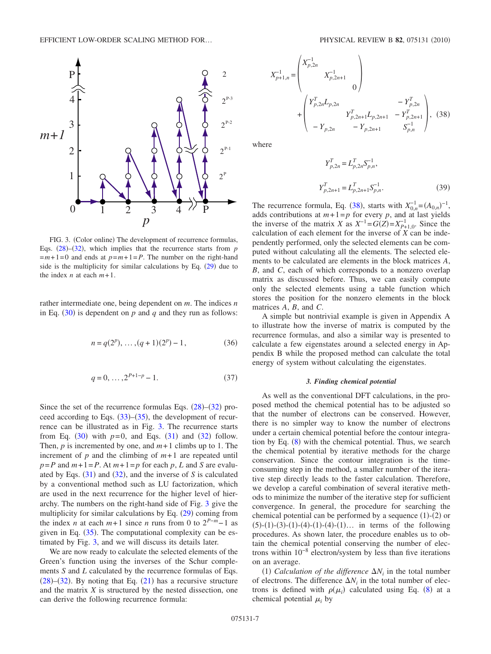<span id="page-6-0"></span>

FIG. 3. (Color online) The development of recurrence formulas, Eqs.  $(28)$  $(28)$  $(28)$ – $(32)$  $(32)$  $(32)$ , which implies that the recurrence starts from  $p$  $=m+1=0$  and ends at  $p=m+1=P$ . The number on the right-hand side is the multiplicity for similar calculations by Eq.  $(29)$  $(29)$  $(29)$  due to the index *n* at each  $m+1$ .

rather intermediate one, being dependent on *m*. The indices *n* in Eq.  $(30)$  $(30)$  $(30)$  is dependent on *p* and *q* and they run as follows:

$$
n = q(2p), \dots, (q+1)(2p) - 1,
$$
\n(36)

$$
q = 0, \dots, 2^{P+1-p} - 1. \tag{37}
$$

Since the set of the recurrence formulas Eqs.  $(28)$  $(28)$  $(28)$ – $(32)$  $(32)$  $(32)$  proceed according to Eqs.  $(33)$  $(33)$  $(33)$ – $(35)$  $(35)$  $(35)$ , the development of recurrence can be illustrated as in Fig. [3.](#page-6-0) The recurrence starts from Eq.  $(30)$  $(30)$  $(30)$  with  $p=0$ , and Eqs.  $(31)$  $(31)$  $(31)$  and  $(32)$  $(32)$  $(32)$  follow. Then,  $p$  is incremented by one, and  $m+1$  climbs up to 1. The increment of  $p$  and the climbing of  $m+1$  are repeated until  $p = P$  and  $m+1 = P$ . At  $m+1 = p$  for each p, L and S are evaluated by Eqs.  $(31)$  $(31)$  $(31)$  and  $(32)$  $(32)$  $(32)$ , and the inverse of *S* is calculated by a conventional method such as LU factorization, which are used in the next recurrence for the higher level of hierarchy. The numbers on the right-hand side of Fig. [3](#page-6-0) give the multiplicity for similar calculations by Eq.  $(29)$  $(29)$  $(29)$  coming from the index *n* at each  $m+1$  since *n* runs from 0 to  $2^{P-m}-1$  as given in Eq.  $(35)$  $(35)$  $(35)$ . The computational complexity can be estimated by Fig. [3,](#page-6-0) and we will discuss its details later.

We are now ready to calculate the selected elements of the Green's function using the inverses of the Schur complements *S* and *L* calculated by the recurrence formulas of Eqs.  $(28)$  $(28)$  $(28)$ – $(32)$  $(32)$  $(32)$ . By noting that Eq.  $(21)$  $(21)$  $(21)$  has a recursive structure and the matrix *X* is structured by the nested dissection, one can derive the following recurrence formula:

<span id="page-6-1"></span>
$$
X_{p+1,n}^{-1} = \begin{pmatrix} X_{p,2n}^{-1} & & & \\ & X_{p,2n+1}^{-1} & & \\ & & 0 \end{pmatrix}
$$
  
+ 
$$
\begin{pmatrix} Y_{p,2n}^{T} L_{p,2n} & -Y_{p,2n}^{T} \\ & Y_{p,2n+1}^{T} L_{p,2n+1} & -Y_{p,2n+1}^{T} \\ & -Y_{p,2n} & -Y_{p,2n+1} & S_{p,n}^{-1} \end{pmatrix}, (38)
$$

<span id="page-6-2"></span>where

$$
Y_{p,2n}^{T} = L_{p,2n}^{T} S_{p,n}^{-1},
$$
  
\n
$$
Y_{p,2n+1}^{T} = L_{p,2n+1}^{T} S_{p,n}^{-1}.
$$
\n(39)

The recurrence formula, Eq. ([38](#page-6-1)), starts with  $X_{0,n}^{-1} = (A_{0,n})^{-1}$ , adds contributions at  $m+1=p$  for every *p*, and at last yields the inverse of the matrix *X* as  $X^{-1} = G(Z) = X_{P+1,0}^{-1}$ . Since the calculation of each element for the inverse of  $\overrightarrow{X}$  can be independently performed, only the selected elements can be computed without calculating all the elements. The selected elements to be calculated are elements in the block matrices *A*, *B*, and *C*, each of which corresponds to a nonzero overlap matrix as discussed before. Thus, we can easily compute only the selected elements using a table function which stores the position for the nonzero elements in the block matrices *A*, *B*, and *C*.

A simple but nontrivial example is given in Appendix A to illustrate how the inverse of matrix is computed by the recurrence formulas, and also a similar way is presented to calculate a few eigenstates around a selected energy in Appendix B while the proposed method can calculate the total energy of system without calculating the eigenstates.

### *3. Finding chemical potential*

As well as the conventional DFT calculations, in the proposed method the chemical potential has to be adjusted so that the number of electrons can be conserved. However, there is no simpler way to know the number of electrons under a certain chemical potential before the contour integra-tion by Eq. ([8](#page-2-0)) with the chemical potential. Thus, we search the chemical potential by iterative methods for the charge conservation. Since the contour integration is the timeconsuming step in the method, a smaller number of the iterative step directly leads to the faster calculation. Therefore, we develop a careful combination of several iterative methods to minimize the number of the iterative step for sufficient convergence. In general, the procedure for searching the chemical potential can be performed by a sequence  $(1)-(2)$  or  $(5)-(1)-(3)-(1)-(4)-(1)-(4)-(1)...$  in terms of the following procedures. As shown later, the procedure enables us to obtain the chemical potential conserving the number of electrons within 10−8 electron/system by less than five iterations on an average.

(1) *Calculation of the difference*  $\Delta N_i$  in the total number of electrons. The difference  $\Delta N_i$  in the total number of electrons is defined with  $\rho(\mu_i)$  calculated using Eq. ([8](#page-2-0)) at a chemical potential  $\mu_i$  by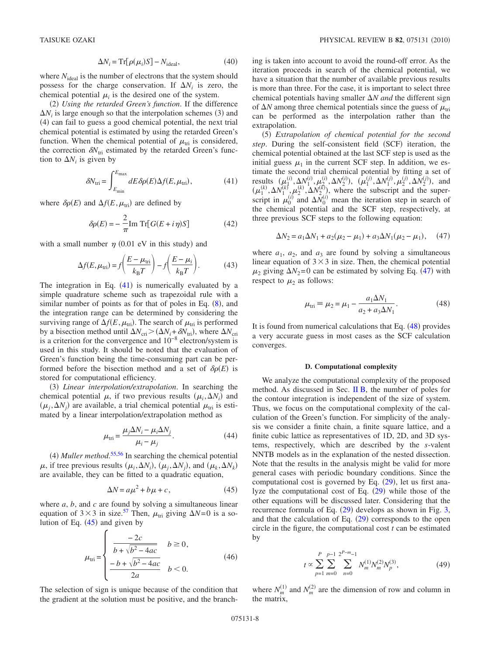$$
\Delta N_i = \text{Tr}[\rho(\mu_i)S] - N_{\text{ideal}},\tag{40}
$$

where  $N_{ideal}$  is the number of electrons that the system should possess for the charge conservation. If  $\Delta N_i$  is zero, the chemical potential  $\mu_i$  is the desired one of the system.

(2) Using the retarded Green's function. If the difference  $\Delta N_i$  is large enough so that the interpolation schemes (3) and (4) can fail to guess a good chemical potential, the next trial chemical potential is estimated by using the retarded Green's function. When the chemical potential of  $\mu_{\text{tri}}$  is considered, the correction  $\delta N_{\text{tri}}$  estimated by the retarded Green's function to  $\Delta N_i$  is given by

$$
\delta N_{\rm tri} = \int_{E_{\rm min}}^{E_{\rm max}} dE \, \delta \rho(E) \Delta f(E, \mu_{\rm tri}), \tag{41}
$$

<span id="page-7-0"></span>where  $\delta \rho(E)$  and  $\Delta f(E, \mu_{\text{tri}})$  are defined by

$$
\delta \rho(E) = -\frac{2}{\pi} \text{Im Tr} [G(E + i\eta)S] \tag{42}
$$

with a small number  $\eta$  (0.01 eV in this study) and

$$
\Delta f(E, \mu_{\rm tri}) = f\left(\frac{E - \mu_{\rm tri}}{k_{\rm B}T}\right) - f\left(\frac{E - \mu_i}{k_{\rm B}T}\right). \tag{43}
$$

The integration in Eq.  $(41)$  $(41)$  $(41)$  is numerically evaluated by a simple quadrature scheme such as trapezoidal rule with a similar number of points as for that of poles in Eq.  $(8)$  $(8)$  $(8)$ , and the integration range can be determined by considering the surviving range of  $\Delta f(E, \mu_{\text{tri}})$ . The search of  $\mu_{\text{tri}}$  is performed by a bisection method until  $\Delta N_{\text{cri}} > (\Delta N_i + \delta N_{\text{tri}})$ , where  $\Delta N_{\text{cri}}$ is a criterion for the convergence and  $10^{-8}$  electron/system is used in this study. It should be noted that the evaluation of Green's function being the time-consuming part can be performed before the bisection method and a set of  $\delta \rho(E)$  is stored for computational efficiency.

(3) Linear interpolation/extrapolation. In searching the chemical potential  $\mu$ , if two previous results  $(\mu_i, \Delta N_i)$  and  $(\mu_j, \Delta N_j)$  are available, a trial chemical potential  $\mu_{tri}$  is estimated by a linear interpolation/extrapolation method as

$$
\mu_{\rm tri} = \frac{\mu_j \Delta N_i - \mu_i \Delta N_j}{\mu_i - \mu_j}.
$$
\n(44)

 $(4)$  *Muller method.*<sup>[55,](#page-16-2)[56](#page-16-3)</sup> In searching the chemical potential  $\mu$ , if tree previous results  $(\mu_i, \Delta N_i)$ ,  $(\mu_j, \Delta N_j)$ , and  $(\mu_k, \Delta N_k)$ are available, they can be fitted to a quadratic equation,

$$
\Delta N = a\mu^2 + b\mu + c,\tag{45}
$$

<span id="page-7-1"></span>where *a*, *b*, and *c* are found by solving a simultaneous linear equation of  $3 \times 3$  in size.<sup>57</sup> Then,  $\mu_{\text{tri}}$  giving  $\Delta N = 0$  is a solution of Eq.  $(45)$  $(45)$  $(45)$  and given by

$$
\mu_{\text{tri}} = \begin{cases}\n\frac{-2c}{b + \sqrt{b^2 - 4ac}} & b \ge 0, \\
\frac{-b + \sqrt{b^2 - 4ac}}{2a} & b < 0.\n\end{cases}
$$
\n(46)

The selection of sign is unique because of the condition that the gradient at the solution must be positive, and the branching is taken into account to avoid the round-off error. As the iteration proceeds in search of the chemical potential, we have a situation that the number of available previous results is more than three. For the case, it is important to select three chemical potentials having smaller  $\Delta N$  *and* the different sign of  $\Delta N$  among three chemical potentials since the guess of  $\mu_{\text{tri}}$ can be performed as the interpolation rather than the extrapolation.

(5) Extrapolation of chemical potential for the second step. During the self-consistent field (SCF) iteration, the chemical potential obtained at the last SCF step is used as the initial guess  $\mu_1$  in the current SCF step. In addition, we estimate the second trial chemical potential by fitting a set of results  $(\mu_1^{(i)}, \Delta N_1^{(i)}, \mu_2^{(i)}, \Delta N_2^{(i)}), \ (\mu_1^{(j)}, \Delta N_1^{(j)}, \mu_2^{(j)}, \Delta N_2^{(j)}), \text{ and}$  $(\mu_1^{(k)}, \Delta N_1^{(k)}, \mu_2^{(k)}, \Delta N_2^{(k)})$ , where the subscript and the superscript in  $\mu_0^{(i)}$  and  $\Delta \bar{N}_0^{(i)}$  mean the iteration step in search of the chemical potential and the SCF step, respectively, at three previous SCF steps to the following equation:

$$
\Delta N_2 = a_1 \Delta N_1 + a_2(\mu_2 - \mu_1) + a_3 \Delta N_1(\mu_2 - \mu_1), \quad (47)
$$

<span id="page-7-2"></span>where  $a_1$ ,  $a_2$ , and  $a_3$  are found by solving a simultaneous linear equation of  $3 \times 3$  in size. Then, the chemical potential  $\mu_2$  giving  $\Delta N_2 = 0$  can be estimated by solving Eq. ([47](#page-7-2)) with respect to  $\mu_2$  as follows:

$$
\mu_{\rm tri} \equiv \mu_2 = \mu_1 - \frac{a_1 \Delta N_1}{a_2 + a_3 \Delta N_1}.
$$
 (48)

<span id="page-7-3"></span>It is found from numerical calculations that Eq.  $(48)$  $(48)$  $(48)$  provides a very accurate guess in most cases as the SCF calculation converges.

### **D. Computational complexity**

We analyze the computational complexity of the proposed method. As discussed in Sec.  $\overline{I}$  IB, the number of poles for the contour integration is independent of the size of system. Thus, we focus on the computational complexity of the calculation of the Green's function. For simplicity of the analysis we consider a finite chain, a finite square lattice, and a finite cubic lattice as representatives of 1D, 2D, and 3D systems, respectively, which are described by the *s*-valent NNTB models as in the explanation of the nested dissection. Note that the results in the analysis might be valid for more general cases with periodic boundary conditions. Since the computational cost is governed by Eq.  $(29)$  $(29)$  $(29)$ , let us first analyze the computational cost of Eq.  $(29)$  $(29)$  $(29)$  while those of the other equations will be discussed later. Considering that the recurrence formula of Eq.  $(29)$  $(29)$  $(29)$  develops as shown in Fig. [3,](#page-6-0) and that the calculation of Eq.  $(29)$  $(29)$  $(29)$  corresponds to the open circle in the figure, the computational cost *t* can be estimated by

$$
t \propto \sum_{p=1}^{P} \sum_{m=0}^{p-1} \sum_{n=0}^{2^{P-m}-1} N_m^{(1)} N_m^{(2)} N_p^{(3)},
$$
 (49)

<span id="page-7-4"></span>where  $N_m^{(1)}$  and  $N_m^{(2)}$  are the dimension of row and column in the matrix,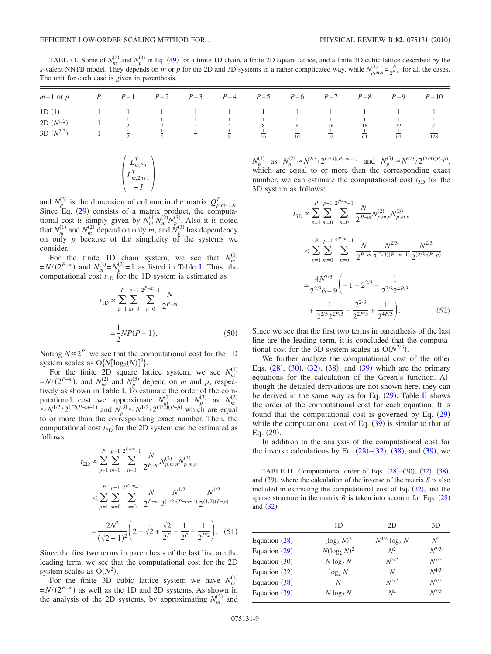<span id="page-8-0"></span>TABLE I. Some of  $N_m^{(2)}$  and  $N_p^{(3)}$  in Eq. ([49](#page-7-4)) for a finite 1D chain, a finite 2D square lattice, and a finite 3D cubic lattice described by the *s*-valent NNTB model. They depends on *m* or *p* for the 2D and 3D systems in a rather complicated way, while  $N_{p,m,n}^{(1)} = \frac{N}{2^{p-m}}$  for all the cases. The unit for each case is given in parenthesis.

| $m+1$ or $p$   |          | $P$ $P-1$ $P-2$ $P-3$ $P-4$ $P-5$ $P-6$ $P-7$ $P-8$ |  |    |    |    |    | $P-9$ | $P-10$ |
|----------------|----------|-----------------------------------------------------|--|----|----|----|----|-------|--------|
| 1D(1)          |          |                                                     |  |    |    |    |    |       |        |
| 2D $(N^{1/2})$ | $\gamma$ |                                                     |  |    |    | 16 | 16 |       | 32     |
| 3D $(N^{2/3})$ |          |                                                     |  | 16 | 16 | 32 | 64 | 64    | 128    |

$$
\begin{pmatrix} L_{m,2n}^T \\ L_{m,2n+1}^T \\ -I \end{pmatrix}
$$

and  $N_p^{(3)}$  is the dimension of column in the matrix  $Q_{p,m+1,n}^T$ . Since Eq. ([29](#page-5-6)) consists of a matrix product, the computational cost is simply given by  $N_m^{(1)} N_m^{(2)} N_{p}^{(3)}$ . Also it is noted that  $N_m^{(1)}$  and  $N_m^{(2)}$  depend on only *m*, and  $N_p^{(3)}$  has dependency on only *p* because of the simplicity of the systems we consider.

For the finite 1D chain system, we see that  $N_m^{(1)}$  $=N/(2^{P-m})$  and  $N_m^{(2)} = N_p^{(2)} = 1$  as listed in Table [I.](#page-8-0) Thus, the computational cost  $t_{1D}$  for the 1D system is estimated as

$$
t_{1D} \propto \sum_{p=1}^{P} \sum_{m=0}^{p-1} \sum_{n=0}^{2^{P-m}-1} \frac{N}{2^{P-m}}
$$

$$
= \frac{1}{2} NP(P+1).
$$
 (50)

Noting  $N \propto 2^P$ , we see that the computational cost for the 1D system scales as  $O\{N[\log_2(N)]^2\}$ .

For the finite 2D square lattice system, we see  $N_m^{(1)}$ <br>= $N/(2^{P-m})$ , and  $N_m^{(2)}$  and  $N_p^{(3)}$  depend on *m* and *p*, respectively as shown in Table [I.](#page-8-0) To estimate the order of the computational cost we approximate *N*<sub>*m*</sub><sup>(2)</sup> and *N*<sub>*p*</sub><sup>(3)</sup> as *N*<sub>*m*</sub><sup>(2)</sup>  $\approx N^{1/2}/2^{1/2(P-m-1)}$  and *N*<sub>*p*</sub><sup>(3)</sup> $\approx N^{1/2}/2^{(1/2)(P-p)}$  which are equal to or more than the corresponding exact number. Then, the computational cost  $t_{2D}$  for the 2D system can be estimated as follows:

$$
t_{2D} \propto \sum_{p=1}^{P} \sum_{m=0}^{p-1} \sum_{n=0}^{2^{P-m}-1} \frac{N}{2^{P-m}} N_{p,m,n}^{(2)} N_{p,m,n}^{(3)}
$$
  

$$
< \sum_{p=1}^{P} \sum_{m=0}^{p-1} \sum_{n=0}^{2^{P-m}-1} \frac{N}{2^{P-m}} \frac{N^{1/2}}{2^{(1/2)(P-m-1)}} \frac{N^{1/2}}{2^{(1/2)(P-p)}}
$$
  

$$
= \frac{2N^2}{(\sqrt{2}-1)^2} \left(2 - \sqrt{2} + \frac{\sqrt{2}}{2^P} - \frac{1}{2^P} - \frac{1}{2^{P/2}}\right). (51)
$$

Since the first two terms in parenthesis of the last line are the leading term, we see that the computational cost for the 2D system scales as  $O(N^2)$ .

For the finite 3D cubic lattice system we have  $N_m^{(1)}$  $=N/(2^{P-m})$  as well as the 1D and 2D systems. As shown in the analysis of the 2D systems, by approximating  $N_m^{(2)}$  and

 $N_p^{(3)}$  as  $N_m^{(2)} \approx N^{2/3}/2^{(2/3)(P-m-1)}$  and  $N_p^{(3)} \approx N^{2/3}/2^{(2/3)(P-p)}$ , which are equal to or more than the corresponding exact number, we can estimate the computational cost  $t_{3D}$  for the 3D system as follows:

$$
t_{3D} \propto \sum_{p=1}^{P} \sum_{m=0}^{p-1} \sum_{n=0}^{2^{P-m}-1} \frac{N}{2^{P-m}} N_{p,m,n}^{(2)} N_{p,m,n}^{(3)}
$$
  

$$
< \sum_{p=1}^{P} \sum_{m=0}^{p-1} \sum_{n=0}^{2^{P-m}-1} \frac{N}{2^{P-m}} \frac{N^{2/3}}{2^{(2/3)(P-m-1)}} \frac{N^{2/3}}{2^{(2/3)(P-p)}}
$$
  

$$
= \frac{4N^{7/3}}{2^{2/3}6 - 9} \left( -1 + 2^{2/3} - \frac{1}{2^{2/3}2^{4P/3}} + \frac{1}{2^{2P/3}} \right).
$$
 (52)

Since we see that the first two terms in parenthesis of the last line are the leading term, it is concluded that the computational cost for the 3D system scales as  $O(N^{7/3})$ .

We further analyze the computational cost of the other Eqs. ([28](#page-5-7)), ([30](#page-5-9)), ([32](#page-5-8)), ([38](#page-6-1)), and ([39](#page-6-2)) which are the primary equations for the calculation of the Green's function. Although the detailed derivations are not shown here, they can be derived in the same way as for Eq.  $(29)$  $(29)$  $(29)$ . Table [II](#page-8-1) shows the order of the computational cost for each equation. It is found that the computational cost is governed by Eq.  $(29)$  $(29)$  $(29)$ while the computational cost of Eq.  $(39)$  $(39)$  $(39)$  is similar to that of Eq.  $(29)$  $(29)$  $(29)$ .

In addition to the analysis of the computational cost for the inverse calculations by Eq.  $(28)$  $(28)$  $(28)$ – $(32)$  $(32)$  $(32)$ ,  $(38)$  $(38)$  $(38)$ , and  $(39)$  $(39)$  $(39)$ , we

<span id="page-8-1"></span>TABLE II. Computational order of Eqs.  $(28)–(30)$  $(28)–(30)$  $(28)–(30)$  $(28)–(30)$  $(28)–(30)$ ,  $(32)$  $(32)$  $(32)$ ,  $(38)$  $(38)$  $(38)$ , and  $(39)$  $(39)$  $(39)$ , where the calculation of the inverse of the matrix *S* is also included in estimating the computational cost of Eq.  $(32)$  $(32)$  $(32)$ , and the sparse structure in the matrix  $B$  is taken into account for Eqs.  $(28)$  $(28)$  $(28)$ and  $(32)$  $(32)$  $(32)$ .

|                 | 1D              | 2D                 | 3D        |
|-----------------|-----------------|--------------------|-----------|
| Equation (28)   | $(\log_2 N)^2$  | $N^{3/2} \log_2 N$ | $N^2$     |
| Equation $(29)$ | $N(\log_2 N)^2$ | $N^2$              | $N^{7/3}$ |
| Equation $(30)$ | $N \log_2 N$    | $N^{3/2}$          | $N^{5/3}$ |
| Equation $(32)$ | $\log_2 N$      | N                  | $N^{4/3}$ |
| Equation $(38)$ | N               | $N^{3/2}$          | $N^{5/3}$ |
| Equation $(39)$ | $N \log_2 N$    | $N^2$              | $N^{7/3}$ |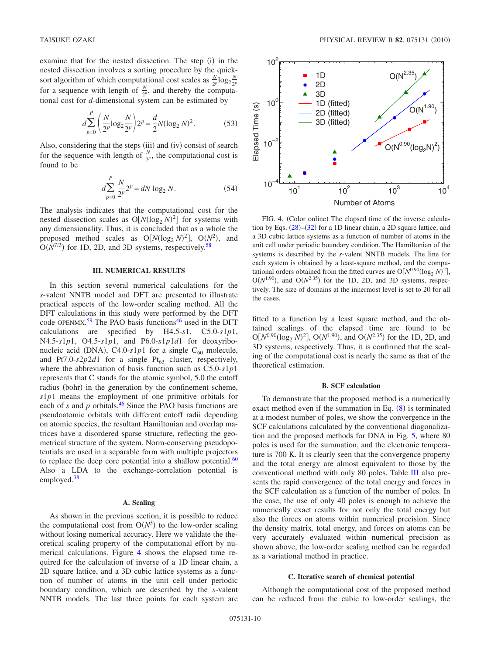examine that for the nested dissection. The step (i) in the nested dissection involves a sorting procedure by the quicksort algorithm of which computational cost scales as  $\frac{N}{2^p} \log_2 \frac{N}{2^p}$ for a sequence with length of  $\frac{N}{2p}$ , and thereby the computational cost for *d*-dimensional system can be estimated by

$$
d\sum_{p=0}^{P} \left(\frac{N}{2^p} \log_2 \frac{N}{2^p}\right) 2^p = \frac{d}{2} N (\log_2 N)^2.
$$
 (53)

Also, considering that the steps (iii) and (iv) consist of search for the sequence with length of  $\frac{N}{2^p}$ , the computational cost is found to be

$$
d\sum_{p=0}^{P} \frac{N}{2^p} 2^p = dN \log_2 N.
$$
 (54)

The analysis indicates that the computational cost for the nested dissection scales as  $O[N(\log_2 N)^2]$  for systems with any dimensionality. Thus, it is concluded that as a whole the proposed method scales as  $O[N(\log_2 N)^2]$ ,  $O(N^2)$ , and  $O(N^{7/3})$  for 1D, 2D, and 3D systems, respectively.<sup>58</sup>

#### **III. NUMERICAL RESULTS**

<span id="page-9-0"></span>In this section several numerical calculations for the *s*-valent NNTB model and DFT are presented to illustrate practical aspects of the low-order scaling method. All the DFT calculations in this study were performed by the DFT code OPENMX.<sup>[59](#page-16-6)</sup> The PAO basis functions<sup>46</sup> used in the DFT calculations are specified by H4.5-*s*1, C5.0-*s*1*p*1, N4.5-*s*1*p*1, O4.5-*s*1*p*1, and P6.0-*s*1*p*1*d*1 for deoxyribonucleic acid (DNA), C4.0- $s1p1$  for a single C<sub>60</sub> molecule, and Pt7.0- $s2p2d1$  for a single Pt<sub>63</sub> cluster, respectively, where the abbreviation of basis function such as C5.0-*s*1*p*1 represents that C stands for the atomic symbol, 5.0 the cutoff radius (bohr) in the generation by the confinement scheme, *s*1*p*1 means the employment of one primitive orbitals for each of  $s$  and  $p$  orbitals.<sup>46</sup> Since the PAO basis functions are pseudoatomic orbitals with different cutoff radii depending on atomic species, the resultant Hamiltonian and overlap matrices have a disordered sparse structure, reflecting the geometrical structure of the system. Norm-conserving pseudopotentials are used in a separable form with multiple projectors to replace the deep core potential into a shallow potential. $60$ Also a LDA to the exchange-correlation potential is employed[.38](#page-15-6)

#### **A. Scaling**

As shown in the previous section, it is possible to reduce the computational cost from  $O(N^3)$  to the low-order scaling without losing numerical accuracy. Here we validate the theoretical scaling property of the computational effort by numerical calculations. Figure [4](#page-9-1) shows the elapsed time required for the calculation of inverse of a 1D linear chain, a 2D square lattice, and a 3D cubic lattice systems as a function of number of atoms in the unit cell under periodic boundary condition, which are described by the *s*-valent NNTB models. The last three points for each system are

<span id="page-9-1"></span>

FIG. 4. (Color online) The elapsed time of the inverse calcula-tion by Eqs. ([28](#page-5-7))–([32](#page-5-8)) for a 1D linear chain, a 2D square lattice, and a 3D cubic lattice systems as a function of number of atoms in the unit cell under periodic boundary condition. The Hamiltonian of the systems is described by the *s*-valent NNTB models. The line for each system is obtained by a least-square method, and the computational orders obtained from the fitted curves are  $O[N^{0.90}(\log_2 N)^2]$ ,  $O(N^{1.90})$ , and  $O(N^{2.35})$  for the 1D, 2D, and 3D systems, respectively. The size of domains at the innermost level is set to 20 for all the cases.

fitted to a function by a least square method, and the obtained scalings of the elapsed time are found to be  $O[N^{0.90}(\log_2 N)^2]$ ,  $O(N^{1.90})$ , and  $O(N^{2.35})$  for the 1D, 2D, and 3D systems, respectively. Thus, it is confirmed that the scaling of the computational cost is nearly the same as that of the theoretical estimation.

#### **B. SCF calculation**

To demonstrate that the proposed method is a numerically exact method even if the summation in Eq.  $(8)$  $(8)$  $(8)$  is terminated at a modest number of poles, we show the convergence in the SCF calculations calculated by the conventional diagonalization and the proposed methods for DNA in Fig. [5,](#page-10-0) where 80 poles is used for the summation, and the electronic temperature is 700 K. It is clearly seen that the convergence property and the total energy are almost equivalent to those by the conventional method with only 80 poles. Table [III](#page-10-1) also presents the rapid convergence of the total energy and forces in the SCF calculation as a function of the number of poles. In the case, the use of only 40 poles is enough to achieve the numerically exact results for not only the total energy but also the forces on atoms within numerical precision. Since the density matrix, total energy, and forces on atoms can be very accurately evaluated within numerical precision as shown above, the low-order scaling method can be regarded as a variational method in practice.

#### **C. Iterative search of chemical potential**

Although the computational cost of the proposed method can be reduced from the cubic to low-order scalings, the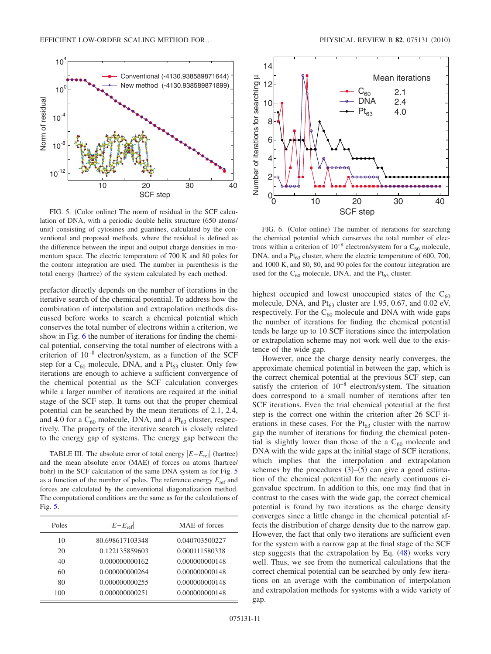<span id="page-10-0"></span>

FIG. 5. (Color online) The norm of residual in the SCF calculation of DNA, with a periodic double helix structure (650 atoms/ unit) consisting of cytosines and guanines, calculated by the conventional and proposed methods, where the residual is defined as the difference between the input and output charge densities in momentum space. The electric temperature of 700 K and 80 poles for the contour integration are used. The number in parenthesis is the total energy (hartree) of the system calculated by each method.

prefactor directly depends on the number of iterations in the iterative search of the chemical potential. To address how the combination of interpolation and extrapolation methods discussed before works to search a chemical potential which conserves the total number of electrons within a criterion, we show in Fig. [6](#page-10-2) the number of iterations for finding the chemical potential, conserving the total number of electrons with a criterion of 10−8 electron/system, as a function of the SCF step for a  $C_{60}$  molecule, DNA, and a  $Pt_{63}$  cluster. Only few iterations are enough to achieve a sufficient convergence of the chemical potential as the SCF calculation converges while a larger number of iterations are required at the initial stage of the SCF step. It turns out that the proper chemical potential can be searched by the mean iterations of 2.1, 2.4, and 4.0 for a  $C_{60}$  molecule, DNA, and a  $Pt_{63}$  cluster, respectively. The property of the iterative search is closely related to the energy gap of systems. The energy gap between the

<span id="page-10-1"></span>TABLE III. The absolute error of total energy  $|E - E_{\text{ref}}|$  (hartree) and the mean absolute error (MAE) of forces on atoms (hartree/ bohr) in the SCF calculation of the same DNA system as for Fig. [5](#page-10-0) as a function of the number of poles. The reference energy  $E_{ref}$  and forces are calculated by the conventional diagonalization method. The computational conditions are the same as for the calculations of Fig. [5.](#page-10-0)

| Poles | $ E-E_{\text{ref}} $ | MAE of forces  |
|-------|----------------------|----------------|
| 10    | 80.698617103348      | 0.040703500227 |
| 20    | 0.122135859603       | 0.000111580338 |
| 40    | 0.000000000162       | 0.000000000148 |
| 60    | 0.000000000264       | 0.000000000148 |
| 80    | 0.000000000255       | 0.000000000148 |
| 100   | 0.000000000251       | 0.000000000148 |
|       |                      |                |

<span id="page-10-2"></span>

FIG. 6. (Color online) The number of iterations for searching the chemical potential which conserves the total number of electrons within a criterion of  $10^{-8}$  electron/system for a C<sub>60</sub> molecule, DNA, and a  $Pt_{63}$  cluster, where the electric temperature of 600, 700, and 1000 K, and 80, 80, and 90 poles for the contour integration are used for the  $C_{60}$  molecule, DNA, and the Pt $_{63}$  cluster.

highest occupied and lowest unoccupied states of the  $C_{60}$ molecule, DNA, and  $Pt_{63}$  cluster are 1.95, 0.67, and 0.02 eV, respectively. For the  $C_{60}$  molecule and DNA with wide gaps the number of iterations for finding the chemical potential tends be large up to 10 SCF iterations since the interpolation or extrapolation scheme may not work well due to the existence of the wide gap.

However, once the charge density nearly converges, the approximate chemical potential in between the gap, which is the correct chemical potential at the previous SCF step, can satisfy the criterion of 10−8 electron/system. The situation does correspond to a small number of iterations after ten SCF iterations. Even the trial chemical potential at the first step is the correct one within the criterion after 26 SCF iterations in these cases. For the  $Pt_{63}$  cluster with the narrow gap the number of iterations for finding the chemical potential is slightly lower than those of the a  $C_{60}$  molecule and DNA with the wide gaps at the initial stage of SCF iterations, which implies that the interpolation and extrapolation schemes by the procedures  $(3)$ – $(5)$  can give a good estimation of the chemical potential for the nearly continuous eigenvalue spectrum. In addition to this, one may find that in contrast to the cases with the wide gap, the correct chemical potential is found by two iterations as the charge density converges since a little change in the chemical potential affects the distribution of charge density due to the narrow gap. However, the fact that only two iterations are sufficient even for the system with a narrow gap at the final stage of the SCF step suggests that the extrapolation by Eq.  $(48)$  $(48)$  $(48)$  works very well. Thus, we see from the numerical calculations that the correct chemical potential can be searched by only few iterations on an average with the combination of interpolation and extrapolation methods for systems with a wide variety of gap.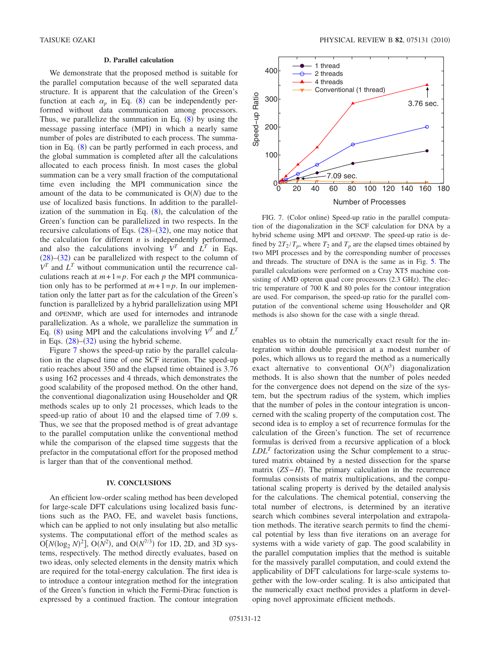# **D. Parallel calculation**

We demonstrate that the proposed method is suitable for the parallel computation because of the well separated data structure. It is apparent that the calculation of the Green's function at each  $\alpha_p$  in Eq. ([8](#page-2-0)) can be independently performed without data communication among processors. Thus, we parallelize the summation in Eq.  $(8)$  $(8)$  $(8)$  by using the message passing interface (MPI) in which a nearly same number of poles are distributed to each process. The summation in Eq.  $(8)$  $(8)$  $(8)$  can be partly performed in each process, and the global summation is completed after all the calculations allocated to each process finish. In most cases the global summation can be a very small fraction of the computational time even including the MPI communication since the amount of the data to be communicated is  $O(N)$  due to the use of localized basis functions. In addition to the parallelization of the summation in Eq.  $(8)$  $(8)$  $(8)$ , the calculation of the Green's function can be parallelized in two respects. In the recursive calculations of Eqs.  $(28)$  $(28)$  $(28)$ – $(32)$  $(32)$  $(32)$ , one may notice that the calculation for different *n* is independently performed, and also the calculations involving  $V^T$  and  $L^T$  in Eqs.  $(28)$  $(28)$  $(28)$ – $(32)$  $(32)$  $(32)$  can be parallelized with respect to the column of  $V^T$  and  $L^T$  without communication until the recurrence calculations reach at  $m+1=p$ . For each *p* the MPI communication only has to be performed at  $m+1=p$ . In our implementation only the latter part as for the calculation of the Green's function is parallelized by a hybrid parallelization using MPI and OPENMP, which are used for internodes and intranode parallelization. As a whole, we parallelize the summation in Eq. ([8](#page-2-0)) using MPI and the calculations involving  $V^T$  and  $L^T$ in Eqs.  $(28)$  $(28)$  $(28)$ – $(32)$  $(32)$  $(32)$  using the hybrid scheme.

Figure [7](#page-11-1) shows the speed-up ratio by the parallel calculation in the elapsed time of one SCF iteration. The speed-up ratio reaches about 350 and the elapsed time obtained is 3.76 s using 162 processes and 4 threads, which demonstrates the good scalability of the proposed method. On the other hand, the conventional diagonalization using Householder and QR methods scales up to only 21 processes, which leads to the speed-up ratio of about 10 and the elapsed time of 7.09 s. Thus, we see that the proposed method is of great advantage to the parallel computation unlike the conventional method while the comparison of the elapsed time suggests that the prefactor in the computational effort for the proposed method is larger than that of the conventional method.

# **IV. CONCLUSIONS**

<span id="page-11-0"></span>An efficient low-order scaling method has been developed for large-scale DFT calculations using localized basis functions such as the PAO, FE, and wavelet basis functions, which can be applied to not only insulating but also metallic systems. The computational effort of the method scales as  $O[N(\log_2 N)^2]$ ,  $O(N^2)$ , and  $O(N^{7/3})$  for 1D, 2D, and 3D systems, respectively. The method directly evaluates, based on two ideas, only selected elements in the density matrix which are required for the total-energy calculation. The first idea is to introduce a contour integration method for the integration of the Green's function in which the Fermi-Dirac function is expressed by a continued fraction. The contour integration

<span id="page-11-1"></span>

FIG. 7. (Color online) Speed-up ratio in the parallel computation of the diagonalization in the SCF calculation for DNA by a hybrid scheme using MPI and OPENMP. The speed-up ratio is defined by  $2T_2/T_p$ , where  $T_2$  and  $T_p$  are the elapsed times obtained by two MPI processes and by the corresponding number of processes and threads. The structure of DNA is the same as in Fig. [5.](#page-10-0) The parallel calculations were performed on a Cray XT5 machine consisting of AMD opteron quad core processors (2.3 GHz). The electric temperature of 700 K and 80 poles for the contour integration are used. For comparison, the speed-up ratio for the parallel computation of the conventional scheme using Householder and QR methods is also shown for the case with a single thread.

enables us to obtain the numerically exact result for the integration within double precision at a modest number of poles, which allows us to regard the method as a numerically exact alternative to conventional  $O(N^3)$  diagonalization methods. It is also shown that the number of poles needed for the convergence does not depend on the size of the system, but the spectrum radius of the system, which implies that the number of poles in the contour integration is unconcerned with the scaling property of the computation cost. The second idea is to employ a set of recurrence formulas for the calculation of the Green's function. The set of recurrence formulas is derived from a recursive application of a block  $LDL<sup>T</sup>$  factorization using the Schur complement to a structured matrix obtained by a nested dissection for the sparse matrix (*ZS*−*H*). The primary calculation in the recurrence formulas consists of matrix multiplications, and the computational scaling property is derived by the detailed analysis for the calculations. The chemical potential, conserving the total number of electrons, is determined by an iterative search which combines several interpolation and extrapolation methods. The iterative search permits to find the chemical potential by less than five iterations on an average for systems with a wide variety of gap. The good scalability in the parallel computation implies that the method is suitable for the massively parallel computation, and could extend the applicability of DFT calculations for large-scale systems together with the low-order scaling. It is also anticipated that the numerically exact method provides a platform in developing novel approximate efficient methods.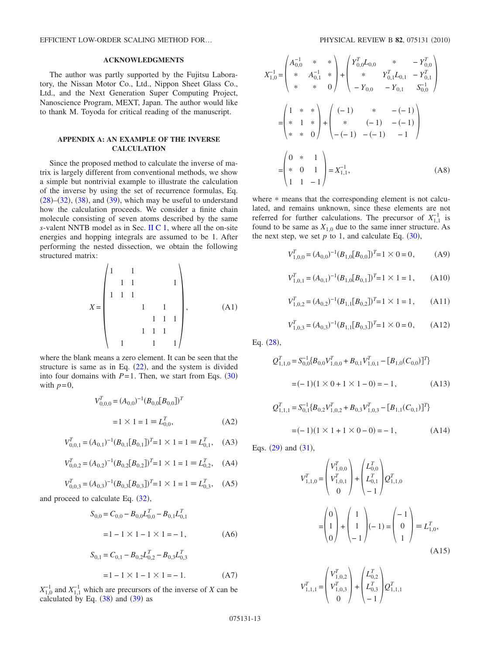EFFICIENT LOW-ORDER SCALING METHOD FOR...

# **ACKNOWLEDGMENTS**

The author was partly supported by the Fujitsu Laboratory, the Nissan Motor Co., Ltd., Nippon Sheet Glass Co., Ltd., and the Next Generation Super Computing Project, Nanoscience Program, MEXT, Japan. The author would like to thank M. Toyoda for critical reading of the manuscript.

# **APPENDIX A: AN EXAMPLE OF THE INVERSE CALCULATION**

Since the proposed method to calculate the inverse of matrix is largely different from conventional methods, we show a simple but nontrivial example to illustrate the calculation of the inverse by using the set of recurrence formulas, Eq.  $(28)$  $(28)$  $(28)$ – $(32)$  $(32)$  $(32)$ ,  $(38)$  $(38)$  $(38)$ , and  $(39)$  $(39)$  $(39)$ , which may be useful to understand how the calculation proceeds. We consider a finite chain molecule consisting of seven atoms described by the same *s*-valent NNTB model as in Sec. [II C 1,](#page-3-1) where all the on-site energies and hopping integrals are assumed to be 1. After performing the nested dissection, we obtain the following structured matrix:  $\overline{1}$  $\lambda$ 

*X* = 1 1 11 1 111 1 1 111 111 1 11 , A1-

where the blank means a zero element. It can be seen that the structure is same as in Eq.  $(22)$  $(22)$  $(22)$ , and the system is divided into four domains with  $P = 1$ . Then, we start from Eqs. ([30](#page-5-9)) with  $p=0$ ,

$$
V_{0,0,0}^T = (A_{0,0})^{-1} (B_{0,0}[B_{0,0}])^T
$$
  
= 1 × 1 = 1 ≡ L<sub>0,0</sub><sup>T</sup>, (A2)

$$
V_{0,0,1}^T = (A_{0,1})^{-1} (B_{0,1}[B_{0,1}])^T = 1 \times 1 = 1 \equiv L_{0,1}^T, \quad (A3)
$$

$$
V_{0,0,2}^T = (A_{0,2})^{-1} (B_{0,2}[B_{0,2}])^T = 1 \times 1 = 1 \equiv L_{0,2}^T, \quad (A4)
$$

$$
V_{0,0,3}^T = (A_{0,3})^{-1} (B_{0,3}[B_{0,3}])^T = 1 \times 1 = 1 \equiv L_{0,3}^T, \quad (A5)
$$

and proceed to calculate Eq.  $(32)$  $(32)$  $(32)$ ,

$$
S_{0,0} = C_{0,0} - B_{0,0}L_{0,0}^T - B_{0,1}L_{0,1}^T
$$
  
= 1 - 1 × 1 - 1 × 1 = -1, (A6)

$$
S_{0,1} = C_{0,1} - B_{0,2}L_{0,2}^{T} - B_{0,3}L_{0,3}^{T}
$$
  
= 1 - 1 × 1 - 1 × 1 = -1. (A7)

 $X_{1,0}^{-1}$  and  $X_{1,1}^{-1}$  which are precursors of the inverse of *X* can be calculated by Eq.  $(38)$  $(38)$  $(38)$  and  $(39)$  $(39)$  $(39)$  as

$$
X_{1,0}^{-1} = \begin{pmatrix} A_{0,0}^{-1} & * & * \\ * & A_{0,1}^{-1} & * \\ * & * & 0 \end{pmatrix} + \begin{pmatrix} Y_{0,0}^{T}L_{0,0} & * & -Y_{0,0}^{T} \\ * & Y_{0,1}^{T}L_{0,1} & -Y_{0,1}^{T} \\ -Y_{0,0} & -Y_{0,1} & S_{0,0}^{-1} \end{pmatrix}
$$

$$
= \begin{pmatrix} 1 & * & * \\ * & 1 & * \\ * & * & 0 \end{pmatrix} + \begin{pmatrix} (-1) & * & -(-1) \\ * & (-1) & -(-1) \\ -(-1) & -(-1) & -1 \end{pmatrix}
$$

$$
= \begin{pmatrix} 0 & * & 1 \\ * & 0 & 1 \\ 1 & 1 & -1 \end{pmatrix} = X_{1,1}^{-1}, \qquad (A8)
$$

where  $*$  means that the corresponding element is not calculated, and remains unknown, since these elements are not referred for further calculations. The precursor of  $X_{1,1}^{-1}$  is found to be same as  $X_{1,0}$  due to the same inner structure. As the next step, we set  $p$  to 1, and calculate Eq.  $(30)$  $(30)$  $(30)$ ,

$$
V_{1,0,0}^T = (A_{0,0})^{-1} (B_{1,0}[B_{0,0}])^T = 1 \times 0 = 0,
$$
 (A9)

$$
V_{1,0,1}^T = (A_{0,1})^{-1} (B_{1,0}[B_{0,1}])^T = 1 \times 1 = 1,
$$
 (A10)

$$
V_{1,0,2}^T = (A_{0,2})^{-1} (B_{1,1}[B_{0,2}])^T = 1 \times 1 = 1, \quad (A11)
$$

$$
V_{1,0,3}^T = (A_{0,3})^{-1} (B_{1,1}[B_{0,3}])^T = 1 \times 0 = 0, \quad (A12)
$$

Eq.  $(28)$  $(28)$  $(28)$ ,

$$
Q_{1,1,0}^T = S_{0,0}^{-1} \{ B_{0,0} V_{1,0,0}^T + B_{0,1} V_{1,0,1}^T - [B_{1,0}(C_{0,0})]^T \}
$$
  
= (-1)(1 × 0 + 1 × 1 - 0) = -1, (A13)

$$
Q_{1,1,1}^T = S_{0,1}^{-1} \{ B_{0,2} V_{1,0,2}^T + B_{0,3} V_{1,0,3}^T - [B_{1,1}(C_{0,1})]^T \}
$$
  
=  $(-1)(1 \times 1 + 1 \times 0 - 0) = -1,$  (A14)

Eqs.  $(29)$  $(29)$  $(29)$  and  $(31)$  $(31)$  $(31)$ ,

$$
V_{1,1,0}^{T} = \begin{pmatrix} V_{1,0,0}^{T} \\ V_{1,0,1}^{T} \\ 0 \end{pmatrix} + \begin{pmatrix} L_{0,0}^{T} \\ L_{0,1}^{T} \\ -1 \end{pmatrix} Q_{1,1,0}^{T}
$$

$$
= \begin{pmatrix} 0 \\ 1 \\ 0 \end{pmatrix} + \begin{pmatrix} 1 \\ 1 \\ -1 \end{pmatrix} (-1) = \begin{pmatrix} -1 \\ 0 \\ 1 \end{pmatrix} \equiv L_{1,0}^{T},
$$
(A15)

$$
V_{1,1,1}^T = \begin{pmatrix} V_{1,0,2}^T \\ V_{1,0,3}^T \\ 0 \end{pmatrix} + \begin{pmatrix} L_{0,2}^T \\ L_{0,3}^T \\ -1 \end{pmatrix} Q_{1,1,1}^T
$$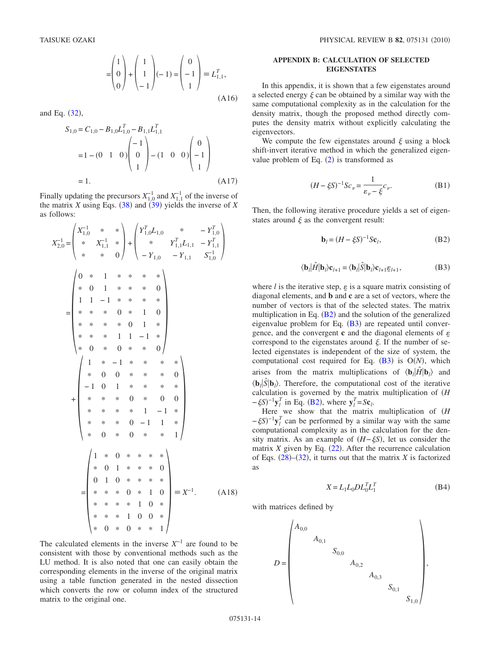$$
= \begin{pmatrix} 1 \\ 0 \\ 0 \end{pmatrix} + \begin{pmatrix} 1 \\ 1 \\ -1 \end{pmatrix} (-1) = \begin{pmatrix} 0 \\ -1 \\ 1 \end{pmatrix} \equiv L_{1,1}^T,
$$
\n(A16)

and Eq.  $(32)$  $(32)$  $(32)$ ,

$$
S_{1,0} = C_{1,0} - B_{1,0}L_{1,0}^T - B_{1,1}L_{1,1}^T
$$
  
= 1 - (0 1 0)  $\begin{pmatrix} -1 \\ 0 \\ 1 \end{pmatrix}$  - (1 0 0)  $\begin{pmatrix} 0 \\ -1 \\ 1 \end{pmatrix}$   
= 1. (A17)

Finally updating the precursors  $X_{1,0}^{-1}$  and  $X_{1,1}^{-1}$  of the inverse of the matrix *X* using Eqs.  $(38)$  $(38)$  $(38)$  and  $(39)$  $(39)$  $(39)$  yields the inverse of *X* as follows:

$$
X_{2,0}^{-1} = \begin{pmatrix} X_{1,0}^{-1} & * & * \\ * & X_{1,1}^{-1} & * \\ * & * & 0 \end{pmatrix} + \begin{pmatrix} Y_{1,0}^{T}L_{1,0} & * & -Y_{1,0}^{T} \\ * & Y_{1,1}^{T}L_{1,1} & -Y_{1,1}^{T} \\ -Y_{1,0} & -Y_{1,1} & S_{1,0}^{-1} \end{pmatrix}
$$
  
\n
$$
= \begin{pmatrix} 0 & * & 1 & * & * & * & * \\ * & 0 & 1 & * & * & * & * \\ * & * & * & 0 & * & 1 & 0 \\ * & * & * & * & 0 & 1 & * \\ * & * & * & 0 & 1 & * \\ * & 0 & * & 0 & * & * & 0 \\ -1 & 0 & 1 & * & * & * & * \\ * & * & * & 0 & * & 0 & 0 \\ * & * & * & * & 1 & -1 & * \\ * & * & * & 0 & * & 0 & 0 \\ * & * & * & * & 0 & -1 & 1 & * \\ * & 0 & * & 0 & * & * & 1 \end{pmatrix}
$$
  
\n
$$
= \begin{pmatrix} 1 & * & 0 & * & * & * & * \\ * & 0 & 1 & * & * & * & 0 \\ * & 0 & 1 & * & * & * & 0 \\ * & 0 & 1 & 0 & * & * & * \\ * & * & * & 0 & * & 1 & 0 \\ * & * & * & * & 1 & 0 & * \\ * & * & * & * & 1 & 0 & 0 \\ * & * & * & * & 1 & 0 & 0 \end{pmatrix} = X^{-1}.
$$
 (A18)

The calculated elements in the inverse *X*−1 are found to be consistent with those by conventional methods such as the LU method. It is also noted that one can easily obtain the corresponding elements in the inverse of the original matrix using a table function generated in the nested dissection which converts the row or column index of the structured matrix to the original one.

# **APPENDIX B: CALCULATION OF SELECTED EIGENSTATES**

In this appendix, it is shown that a few eigenstates around a selected energy  $\xi$  can be obtained by a similar way with the same computational complexity as in the calculation for the density matrix, though the proposed method directly computes the density matrix without explicitly calculating the eigenvectors.

We compute the few eigenstates around  $\xi$  using a block shift-invert iterative method in which the generalized eigenvalue problem of Eq.  $(2)$  $(2)$  $(2)$  is transformed as

$$
(H - \xi S)^{-1} S c_{\nu} = \frac{1}{\varepsilon_{\nu} - \xi} c_{\nu}.
$$
 (B1)

<span id="page-13-0"></span>Then, the following iterative procedure yields a set of eigenstates around  $\xi$  as the convergent result:

$$
\mathbf{b}_l = (H - \xi S)^{-1} S \mathbf{c}_l,\tag{B2}
$$

$$
\langle \mathbf{b}_l | \hat{H} | \mathbf{b}_l \rangle \mathbf{c}_{l+1} = \langle \mathbf{b}_l | \hat{S} | \mathbf{b}_l \rangle \mathbf{c}_{l+1} \varepsilon_{l+1},\tag{B3}
$$

<span id="page-13-1"></span>where  $l$  is the iterative step,  $\varepsilon$  is a square matrix consisting of diagonal elements, and **b** and **c** are a set of vectors, where the number of vectors is that of the selected states. The matrix multiplication in Eq.  $(B2)$  $(B2)$  $(B2)$  and the solution of the generalized eigenvalue problem for Eq.  $(B3)$  $(B3)$  $(B3)$  are repeated until convergence, and the convergent **c** and the diagonal elements of  $\varepsilon$ correspond to the eigenstates around  $\xi$ . If the number of selected eigenstates is independent of the size of system, the computational cost required for Eq.  $(B3)$  $(B3)$  $(B3)$  is  $O(N)$ , which arises from the matrix multiplications of  $\langle \mathbf{b}_l | \hat{H} | \mathbf{b}_l \rangle$  and  $\langle \mathbf{b}_l | \hat{S} | \mathbf{b}_l \rangle$ . Therefore, the computational cost of the iterative calculation is governed by the matrix multiplication of *H*  $-\xi S$ <sup>-1</sup> $y_l^T$  in Eq. ([B2](#page-13-0)), where  $y_l^T = Sc_l$ .

Here we show that the matrix multiplication of *H*  $-\xi S$ <sup>-1</sup> $y_l^T$  can be performed by a similar way with the same computational complexity as in the calculation for the density matrix. As an example of  $(H - \xi S)$ , let us consider the matrix  $X$  given by Eq.  $(22)$  $(22)$  $(22)$ . After the recurrence calculation of Eqs.  $(28)$  $(28)$  $(28)$ – $(32)$  $(32)$  $(32)$ , it turns out that the matrix *X* is factorized as

$$
X = L_1 L_0 D L_0^T L_1^T \tag{B4}
$$

with matrices defined by

$$
D = \begin{pmatrix} A_{0,0} & & & & \\ & A_{0,1} & & & \\ & & S_{0,0} & & \\ & & & A_{0,2} & \\ & & & & A_{0,3} & \\ & & & & & S_{0,1} & \\ & & & & & & S_{1,0} \end{pmatrix},
$$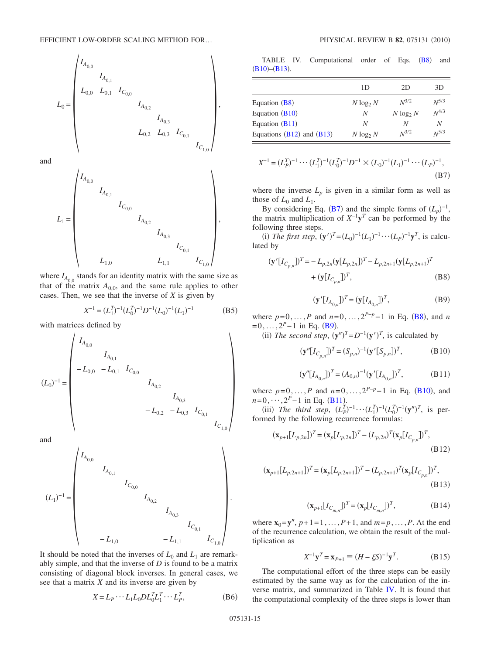$$
L_0=\begin{pmatrix}I_{A_{0,0}}&&&&&\\ &I_{A_{0,1}}&&&&&\\ &L_{0,0}&L_{0,1}&I_{C_{0,0}}&&&\\ &&&I_{A_{0,2}}&&&\\ &&&I_{A_{0,3}}&&\\ &&&&I_{A_{0,3}}&&\\ &&&&&L_{0,2}&L_{0,3}&I_{C_{0,1}}\\ &&&&&I_{C_{1,0}}\end{pmatrix},
$$

and

$$
L_1=\begin{pmatrix}I_{A_{0,0}}&&&&&\\ &I_{A_{0,1}}&&&&\\ &&I_{C_{0,0}}&&&\\ &&&I_{A_{0,2}}&&\\ &&&&I_{A_{0,3}}&&\\ &&&&&I_{C_{0,1}}\\ &&&&&I_{C_{1,0}}\\ &&&&&L_{1,1}&&I_{C_{1,0}}\end{pmatrix},
$$

where  $I_{A_{00}}$  stands for an identity matrix with the same size as that of the matrix  $A_{0,0}$ , and the same rule applies to other cases. Then, we see that the inverse of *X* is given by

$$
X^{-1} = (L_1^T)^{-1} (L_0^T)^{-1} D^{-1} (L_0)^{-1} (L_1)^{-1}
$$
 (B5)

with matrices defined by

 $\lambda$ 

$$
(L_0)^{-1} = \begin{pmatrix} I_{A_{0,0}} & & & & & & & \\ & I_{A_{0,1}} & & & & & & \\ & -L_{0,0} & -L_{0,1} & I_{C_{0,0}} & & & & \\ & & & I_{A_{0,2}} & & & \\ & & & & & I_{A_{0,3}} & \\ & & & & & & -L_{0,2} & -L_{0,3} & I_{C_{0,1}} \\ & & & & & & & I_{C_{1,0}} \end{pmatrix}
$$

and

$$
(L_1)^{-1} = \begin{pmatrix} I_{A_{0,0}} & & & & & & & \\ & I_{A_{0,1}} & & & & & & \\ & & I_{C_{0,0}} & & & & & \\ & & & I_{A_{0,2}} & & & & \\ & & & & I_{A_{0,3}} & & & \\ & & & & & & I_{C_{0,1}} & \\ & & & & & & & & I_{C_{1,0}} \end{pmatrix}.
$$

It should be noted that the inverses of  $L_0$  and  $L_1$  are remarkably simple, and that the inverse of *D* is found to be a matrix consisting of diagonal block inverses. In general cases, we see that a matrix *X* and its inverse are given by

$$
X = L_P \cdots L_1 L_0 D L_0^T L_1^T \cdots L_P^T,
$$
 (B6)

<span id="page-14-5"></span>TABLE IV. Computational order of Eqs. ([B8](#page-14-1)) and  $(B10)$  $(B10)$  $(B10)$ – $(B13)$  $(B13)$  $(B13)$ .

|                               | 1D           | 2D           | 3D        |
|-------------------------------|--------------|--------------|-----------|
| Equation $(B8)$               | $N \log_2 N$ | $N^{3/2}$    | $N^{5/3}$ |
| Equation $(B10)$              | N            | $N \log_2 N$ | $N^{4/3}$ |
| Equation $(B11)$              | N            | N            | N         |
| Equations $(B12)$ and $(B13)$ | $N \log_2 N$ | $N^{3/2}$    | $N^{5/3}$ |

<span id="page-14-0"></span>
$$
X^{-1} = (L_p^T)^{-1} \cdots (L_1^T)^{-1} (L_0^T)^{-1} D^{-1} \times (L_0)^{-1} (L_1)^{-1} \cdots (L_p)^{-1},
$$
\n(B7)

where the inverse  $L_p$  is given in a similar form as well as those of  $L_0$  and  $L_1$ .

By considering Eq. ([B7](#page-14-0)) and the simple forms of  $(L_p)^{-1}$ , the matrix multiplication of  $X^{-1}y^T$  can be performed by the following three steps.

(i) The first step,  $(y')^T = (L_0)^{-1}(L_1)^{-1} \cdots (L_p)^{-1}y^T$ , is calculated by

<span id="page-14-1"></span>
$$
(\mathbf{y}'[I_{C_{p,n}}])^T = -L_{p,2n}(\mathbf{y}[L_{p,2n}])^T - L_{p,2n+1}(\mathbf{y}[L_{p,2n+1})^T + (\mathbf{y}[I_{C_{p,n}}])^T, \tag{B8}
$$

$$
(\mathbf{y}'[I_{A_{0,n}}])^T = (\mathbf{y}[I_{A_{0,n}}])^T, \tag{B9}
$$

<span id="page-14-2"></span>where  $p=0, ..., P$  and  $n=0, ..., 2^{P-p}-1$  in Eq. ([B8](#page-14-1)), and *n*  $=0, \ldots, 2^P-1$  in Eq. ([B9](#page-14-2)).

<span id="page-14-3"></span>(ii) The second step,  $(y'')^T = D^{-1}(y')^T$ , is calculated by

$$
(\mathbf{y}''[I_{C_{p,n}}])^T = (S_{p,n})^{-1} (\mathbf{y}'[S_{p,n}])^T, \tag{B10}
$$

$$
(\mathbf{y}''[I_{A_{0,n}}])^T = (A_{0,n})^{-1} (\mathbf{y}'[I_{A_{0,n}}])^T, \tag{B11}
$$

<span id="page-14-4"></span>where  $p=0, ..., P$  and  $n=0, ..., 2^{P-p}-1$  in Eq. ([B10](#page-14-3)), and  $n=0, \cdots, 2^P-1$  in Eq. ([B11](#page-14-4)).

(iii) The third step,  $(L_p^T)^{-1} \cdots (L_1^T)^{-1} (L_0^T)^{-1} (y'')^T$ , is performed by the following recurrence formulas:

<span id="page-14-7"></span>
$$
(\mathbf{x}_{p+1}[L_{p,2n}])^T = (\mathbf{x}_p[L_{p,2n}])^T - (L_{p,2n})^T (\mathbf{x}_p[L_{C_{p,n}}])^T,
$$
\n(B12)

<span id="page-14-6"></span>
$$
(\mathbf{x}_{p+1}[L_{p,2n+1}])^T = (\mathbf{x}_p[L_{p,2n+1}])^T - (L_{p,2n+1})^T (\mathbf{x}_p[L_{C_{p,n}}])^T,
$$
\n(B13)

$$
(\mathbf{x}_{p+1}[I_{C_{m,n}}])^T = (\mathbf{x}_p[I_{C_{m,n}}])^T, \tag{B14}
$$

where  $\mathbf{x}_0 = \mathbf{y}''$ ,  $p+1=1, ..., P+1$ , and  $m=p, ..., P$ . At the end of the recurrence calculation, we obtain the result of the multiplication as

$$
X^{-1}y^T = x_{P+1} \equiv (H - \xi S)^{-1}y^T.
$$
 (B15)

The computational effort of the three steps can be easily estimated by the same way as for the calculation of the inverse matrix, and summarized in Table [IV.](#page-14-5) It is found that the computational complexity of the three steps is lower than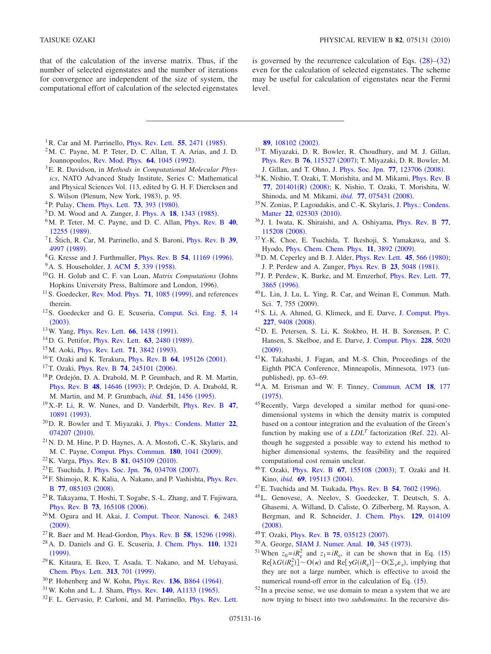that of the calculation of the inverse matrix. Thus, if the number of selected eigenstates and the number of iterations for convergence are independent of the size of system, the computational effort of calculation of the selected eigenstates

is governed by the recurrence calculation of Eqs.  $(28)$  $(28)$  $(28)$ – $(32)$  $(32)$  $(32)$ even for the calculation of selected eigenstates. The scheme may be useful for calculation of eigenstates near the Fermi level.

- <span id="page-15-0"></span><sup>1</sup>R. Car and M. Parrinello, *[Phys. Rev. Lett.](http://dx.doi.org/10.1103/PhysRevLett.55.2471)* **55**, 2471 (1985).
- <span id="page-15-12"></span> $2<sup>2</sup>M$ . C. Payne, M. P. Teter, D. C. Allan, T. A. Arias, and J. D. Joannopoulos, [Rev. Mod. Phys.](http://dx.doi.org/10.1103/RevModPhys.64.1045) 64, 1045 (1992).
- 3E. R. Davidson, in *Methods in Computational Molecular Physics*, NATO Advanced Study Institute, Series C: Mathematical and Physical Sciences Vol. 113, edited by G. H. F. Diercksen and S. Wilson (Plenum, New York, 1983), p. 95.
- <span id="page-15-15"></span><sup>4</sup> P. Pulay, [Chem. Phys. Lett.](http://dx.doi.org/10.1016/0009-2614(80)80396-4) **73**, 393 (1980).
- <span id="page-15-16"></span><sup>5</sup>D. M. Wood and A. Zunger, [J. Phys. A](http://dx.doi.org/10.1088/0305-4470/18/9/018) **18**, 1343 (1985).
- <span id="page-15-13"></span>6M. P. Teter, M. C. Payne, and D. C. Allan, [Phys. Rev. B](http://dx.doi.org/10.1103/PhysRevB.40.12255) **40**, [12255](http://dx.doi.org/10.1103/PhysRevB.40.12255) (1989).
- <span id="page-15-14"></span><sup>7</sup> I. Štich, R. Car, M. Parrinello, and S. Baroni, [Phys. Rev. B](http://dx.doi.org/10.1103/PhysRevB.39.4997) **39**, [4997](http://dx.doi.org/10.1103/PhysRevB.39.4997) (1989).
- <sup>8</sup>G. Kresse and J. Furthmuller, *[Phys. Rev. B](http://dx.doi.org/10.1103/PhysRevB.54.11169)* 54, 11169 (1996).
- <span id="page-15-11"></span><sup>9</sup> A. S. Householder, [J. ACM](http://dx.doi.org/10.1145/320941.320947) **5**, 339 (1958).
- <span id="page-15-10"></span><sup>10</sup>G. H. Golub and C. F. van Loan, *Matrix Computations* (Johns Hopkins University Press, Baltimore and London, 1996).
- <sup>11</sup> S. Goedecker, [Rev. Mod. Phys.](http://dx.doi.org/10.1103/RevModPhys.71.1085) **71**, 1085 (1999), and references therein.
- 12S. Goedecker and G. E. Scuseria, [Comput. Sci. Eng.](http://dx.doi.org/10.1109/MCISE.2003.1208637) **5**, 14  $(2003).$  $(2003).$  $(2003).$
- <sup>13</sup>W. Yang, *[Phys. Rev. Lett.](http://dx.doi.org/10.1103/PhysRevLett.66.1438)* **66**, 1438 (1991).
- <span id="page-15-21"></span><sup>14</sup>D. G. Pettifor, *[Phys. Rev. Lett.](http://dx.doi.org/10.1103/PhysRevLett.63.2480)* **63**, 2480 (1989).
- <sup>15</sup>M. Aoki, *[Phys. Rev. Lett.](http://dx.doi.org/10.1103/PhysRevLett.71.3842)* **71**, 3842 (1993).
- <span id="page-15-35"></span><sup>16</sup>T. Ozaki and K. Terakura, *[Phys. Rev. B](http://dx.doi.org/10.1103/PhysRevB.64.195126)* **64**, 195126 (2001).
- <span id="page-15-22"></span><sup>17</sup>T. Ozaki, *[Phys. Rev. B](http://dx.doi.org/10.1103/PhysRevB.74.245101)* **74**, 245101 (2006).
- <span id="page-15-19"></span><sup>18</sup>P. Ordejón, D. A. Drabold, M. P. Grumbach, and R. M. Martin, [Phys. Rev. B](http://dx.doi.org/10.1103/PhysRevB.48.14646) 48, 14646 (1993); P. Ordejón, D. A. Drabold, R. M. Martin, and M. P. Grumbach, *ibid.* **51**[, 1456](http://dx.doi.org/10.1103/PhysRevB.51.1456) (1995).
- <span id="page-15-17"></span>19X.-P. Li, R. W. Nunes, and D. Vanderbilt, [Phys. Rev. B](http://dx.doi.org/10.1103/PhysRevB.47.10891) **47**, [10891](http://dx.doi.org/10.1103/PhysRevB.47.10891) (1993).
- 20D. R. Bowler and T. Miyazaki, [J. Phys.: Condens. Matter](http://dx.doi.org/10.1088/0953-8984/22/7/074207) **22**, [074207](http://dx.doi.org/10.1088/0953-8984/22/7/074207) (2010).
- <span id="page-15-18"></span> $^{21}$ N. D. M. Hine, P. D. Haynes, A. A. Mostofi, C.-K. Skylaris, and M. C. Payne, [Comput. Phys. Commun.](http://dx.doi.org/10.1016/j.cpc.2008.12.023) 180, 1041 (2009).
- <span id="page-15-38"></span><sup>22</sup> K. Varga, *[Phys. Rev. B](http://dx.doi.org/10.1103/PhysRevB.81.045109)* **81**, 045109 (2010).
- <span id="page-15-20"></span><sup>23</sup> E. Tsuchida, [J. Phys. Soc. Jpn.](http://dx.doi.org/10.1143/JPSJ.76.034708) **76**, 034708 (2007).
- 24F. Shimojo, R. K. Kalia, A. Nakano, and P. Vashishta, [Phys. Rev.](http://dx.doi.org/10.1103/PhysRevB.77.085103) B 77[, 085103](http://dx.doi.org/10.1103/PhysRevB.77.085103) (2008).
- <span id="page-15-23"></span> $^{25}$ R. Takayama, T. Hoshi, T. Sogabe, S.-L. Zhang, and T. Fujiwara, [Phys. Rev. B](http://dx.doi.org/10.1103/PhysRevB.73.165108) **73**, 165108 (2006).
- <span id="page-15-8"></span>26M. Ogura and H. Akai, [J. Comput. Theor. Nanosci.](http://dx.doi.org/10.1166/jctn.2009.1309) **6**, 2483  $(2009).$  $(2009).$  $(2009).$
- <span id="page-15-9"></span><sup>27</sup> R. Baer and M. Head-Gordon, *[Phys. Rev. B](http://dx.doi.org/10.1103/PhysRevB.58.15296)* 58, 15296 (1998).
- 28A. D. Daniels and G. E. Scuseria, [J. Chem. Phys.](http://dx.doi.org/10.1063/1.478008) **110**, 1321  $(1999).$  $(1999).$  $(1999).$
- <span id="page-15-1"></span>29K. Kitaura, E. Ikeo, T. Asada, T. Nakano, and M. Uebayasi, [Chem. Phys. Lett.](http://dx.doi.org/10.1016/S0009-2614(99)00874-X) 313, 701 (1999).
- <span id="page-15-2"></span><sup>30</sup> P. Hohenberg and W. Kohn, *[Phys. Rev.](http://dx.doi.org/10.1103/PhysRev.136.B864)* **136**, B864 (1964).
- <span id="page-15-3"></span><sup>31</sup> W. Kohn and L. J. Sham, *[Phys. Rev.](http://dx.doi.org/10.1103/PhysRev.140.A1133)* **140**, A1133 (1965).
- <span id="page-15-4"></span>32F. L. Gervasio, P. Carloni, and M. Parrinello, [Phys. Rev. Lett.](http://dx.doi.org/10.1103/PhysRevLett.89.108102)

**89**[, 108102](http://dx.doi.org/10.1103/PhysRevLett.89.108102) (2002).

- 33T. Miyazaki, D. R. Bowler, R. Choudhury, and M. J. Gillan, [Phys. Rev. B](http://dx.doi.org/10.1103/PhysRevB.76.115327) 76, 115327 (2007); T. Miyazaki, D. R. Bowler, M. J. Gillan, and T. Ohno, [J. Phys. Soc. Jpn.](http://dx.doi.org/10.1143/JPSJ.77.123706) **77**, 123706 (2008).
- 34K. Nishio, T. Ozaki, T. Morishita, and M. Mikami, [Phys. Rev. B](http://dx.doi.org/10.1103/PhysRevB.77.201401) 77[, 201401](http://dx.doi.org/10.1103/PhysRevB.77.201401)(R) (2008); K. Nishio, T. Ozaki, T. Morishita, W. Shinoda, and M. Mikami, *ibid.* **77**[, 075431](http://dx.doi.org/10.1103/PhysRevB.77.075431) (2008).
- 35N. Zonias, P. Lagoudakis, and C.-K. Skylaris, [J. Phys.: Condens.](http://dx.doi.org/10.1088/0953-8984/22/2/025303) Matter **22**[, 025303](http://dx.doi.org/10.1088/0953-8984/22/2/025303) (2010).
- <sup>36</sup> J. I. Iwata, K. Shiraishi, and A. Oshiyama, [Phys. Rev. B](http://dx.doi.org/10.1103/PhysRevB.77.115208) **77**, [115208](http://dx.doi.org/10.1103/PhysRevB.77.115208) (2008).
- <span id="page-15-5"></span>37Y.-K. Choe, E. Tsuchida, T. Ikeshoji, S. Yamakawa, and S. Hyodo, *[Phys. Chem. Chem. Phys.](http://dx.doi.org/10.1039/b819535h)* **11**, 3892 (2009).
- <span id="page-15-6"></span><sup>38</sup> D. M. Ceperley and B. J. Alder, *[Phys. Rev. Lett.](http://dx.doi.org/10.1103/PhysRevLett.45.566)* **45**, 566 (1980); J. P. Perdew and A. Zunger, *[Phys. Rev. B](http://dx.doi.org/10.1103/PhysRevB.23.5048)* 23, 5048 (1981).
- <span id="page-15-7"></span><sup>39</sup> J. P. Perdew, K. Burke, and M. Ernzerhof, [Phys. Rev. Lett.](http://dx.doi.org/10.1103/PhysRevLett.77.3865) **77**, [3865](http://dx.doi.org/10.1103/PhysRevLett.77.3865) (1996).
- <span id="page-15-24"></span>40L. Lin, J. Lu, L. Ying, R. Car, and Weinan E, Commun. Math. Sci. 7, 755 (2009).
- <span id="page-15-25"></span>41S. Li, A. Ahmed, G. Klimeck, and E. Darve, [J. Comput. Phys.](http://dx.doi.org/10.1016/j.jcp.2008.06.033) **227**[, 9408](http://dx.doi.org/10.1016/j.jcp.2008.06.033) (2008).
- <span id="page-15-26"></span>42D. E. Petersen, S. Li, K. Stokbro, H. H. B. Sorensen, P. C. Hansen, S. Skelboe, and E. Darve, [J. Comput. Phys.](http://dx.doi.org/10.1016/j.jcp.2009.03.035) **228**, 5020  $(2009).$  $(2009).$  $(2009).$
- <span id="page-15-27"></span>43K. Takahashi, J. Fagan, and M.-S. Chin, Proceedings of the Eighth PICA Conference, Minneapolis, Minnesota, 1973 unpublished), pp. 63-69.
- <span id="page-15-28"></span>44A. M. Erisman and W. F. Tinney, [Commun. ACM](http://dx.doi.org/10.1145/360680.360704) **18**, 177  $(1975).$  $(1975).$  $(1975).$
- <span id="page-15-29"></span>45Recently, Varga developed a similar method for quasi-onedimensional systems in which the density matrix is computed based on a contour integration and the evaluation of the Green's function by making use of a  $LDL<sup>T</sup>$  factorization (Ref. [22](#page-15-38)). Although he suggested a possible way to extend his method to higher dimensional systems, the feasibility and the required computational cost remain unclear.
- <span id="page-15-30"></span><sup>46</sup>T. Ozaki, *[Phys. Rev. B](http://dx.doi.org/10.1103/PhysRevB.67.155108) 67*, 155108 (2003); T. Ozaki and H. Kino, *ibid.* **69**[, 195113](http://dx.doi.org/10.1103/PhysRevB.69.195113) (2004).
- <span id="page-15-31"></span><sup>47</sup> E. Tsuchida and M. Tsukada, *[Phys. Rev. B](http://dx.doi.org/10.1103/PhysRevB.54.7602)* 54, 7602 (1996).
- <span id="page-15-32"></span>48L. Genovese, A. Neelov, S. Goedecker, T. Deutsch, S. A. Ghasemi, A. Willand, D. Caliste, O. Zilberberg, M. Rayson, A. Bergman, and R. Schneider, [J. Chem. Phys.](http://dx.doi.org/10.1063/1.2949547) **129**, 014109  $(2008).$  $(2008).$  $(2008).$
- <span id="page-15-33"></span><sup>49</sup> T. Ozaki, *[Phys. Rev. B](http://dx.doi.org/10.1103/PhysRevB.75.035123)* **75**, 035123 (2007).
- <span id="page-15-34"></span><sup>50</sup> A. George, **[SIAM J. Numer. Anal.](http://dx.doi.org/10.1137/0710032) <b>10**, 345 (1973).
- <span id="page-15-36"></span><sup>51</sup> When  $z_0 = iR_e^2$  and  $z_1 = iR_e$ , it can be shown that in Eq. ([15](#page-2-4))  $\text{Re}[\lambda G(iR_e^2)] \sim O(\kappa)$  and  $\text{Re}[\gamma G(iR_e)] \sim O(\Sigma_\nu \varepsilon_\nu)$ , implying that they are not a large number, which is effective to avoid the numerical round-off error in the calculation of Eq. ([15](#page-2-4)).
- <span id="page-15-37"></span> $52$  In a precise sense, we use domain to mean a system that we are now trying to bisect into two *subdomains*. In the recursive dis-